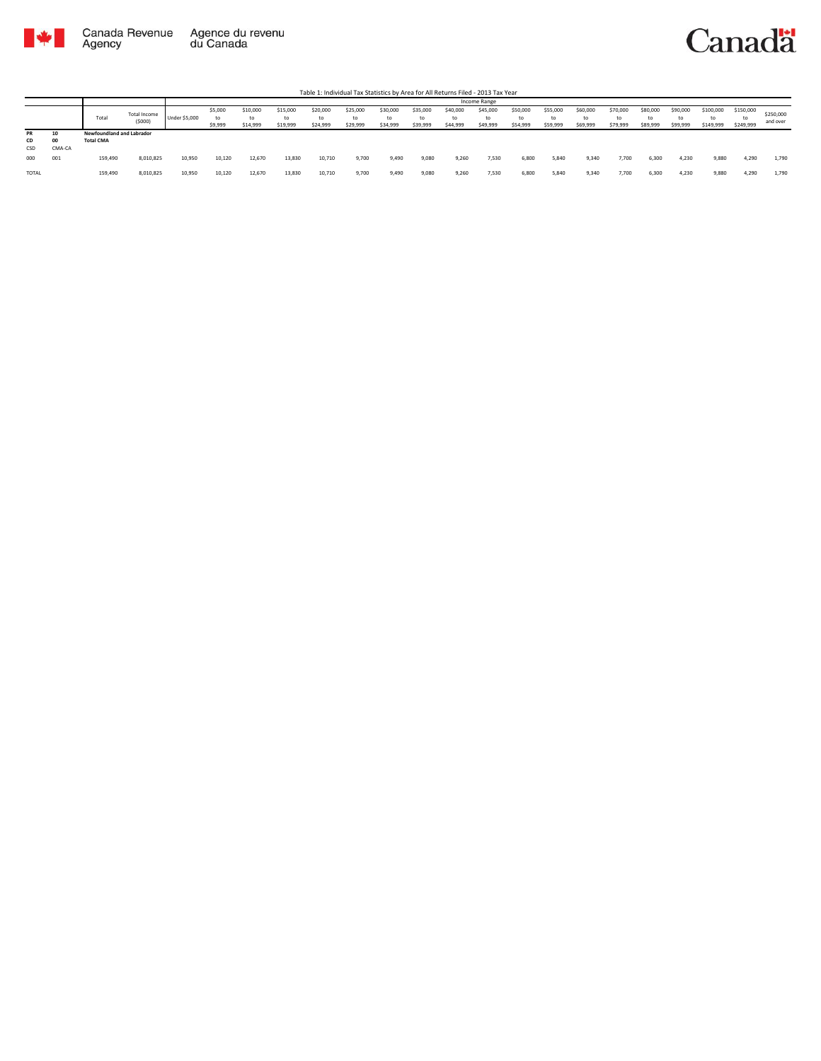

Table 1: Individual Tax Statistics by Area for All Returns Filed - 2013 Tax Year

|           |        |                           |                        |                      |                    |                            |                            |                            |                            |                            |                            |                            | Income Range               |                            |                            |                            |                            |                            |                            |                              |                              |                       |
|-----------|--------|---------------------------|------------------------|----------------------|--------------------|----------------------------|----------------------------|----------------------------|----------------------------|----------------------------|----------------------------|----------------------------|----------------------------|----------------------------|----------------------------|----------------------------|----------------------------|----------------------------|----------------------------|------------------------------|------------------------------|-----------------------|
|           |        | Total                     | Total Income<br>(5000) | <b>Under \$5,000</b> | \$5,000<br>\$9,999 | \$10,000<br>to<br>\$14,999 | \$15,000<br>to<br>\$19,999 | \$20,000<br>to<br>\$24,999 | \$25,000<br>to<br>\$29,999 | \$30,000<br>to<br>\$34,999 | \$35,000<br>to<br>\$39,999 | \$40,000<br>to<br>\$44,999 | \$45,000<br>to<br>\$49,999 | \$50,000<br>to<br>\$54,999 | \$55,000<br>to<br>\$59,999 | \$60,000<br>to<br>\$69,999 | \$70,000<br>to<br>\$79,999 | \$80,000<br>to<br>\$89,999 | \$90,000<br>to<br>\$99,999 | \$100,000<br>to<br>\$149,999 | \$150,000<br>to<br>\$249,999 | \$250,000<br>and over |
| PR        | 10     | Newfoundland and Labrador |                        |                      |                    |                            |                            |                            |                            |                            |                            |                            |                            |                            |                            |                            |                            |                            |                            |                              |                              |                       |
| <b>CD</b> | 00     | <b>Total CMA</b>          |                        |                      |                    |                            |                            |                            |                            |                            |                            |                            |                            |                            |                            |                            |                            |                            |                            |                              |                              |                       |
| CSD       | CMA-CA |                           |                        |                      |                    |                            |                            |                            |                            |                            |                            |                            |                            |                            |                            |                            |                            |                            |                            |                              |                              |                       |
| 000       | 001    | 159,490                   | 8,010,825              | 10,950               | 10.120             | 12.670                     | 13,830                     | 10,710                     | 9.700                      | 9,490                      | 9,080                      | 9,260                      | 7,530                      | 6,800                      | 5,840                      | 9,340                      | 7,700                      | 6,300                      | 4,230                      | 9,880                        | 4,290                        | 1,790                 |
| TOTAL     |        | 159,490                   | 8,010,825              | 10,950               | 10,120             | 12,670                     | 13,830                     | 10,710                     | 9,700                      | 9,490                      | 9,080                      | 9,260                      | 7,530                      | 6,800                      | 5,840                      | 9,340                      | 7,700                      | 6,300                      | 4,230                      | 9,880                        | 4,290                        | 1,790                 |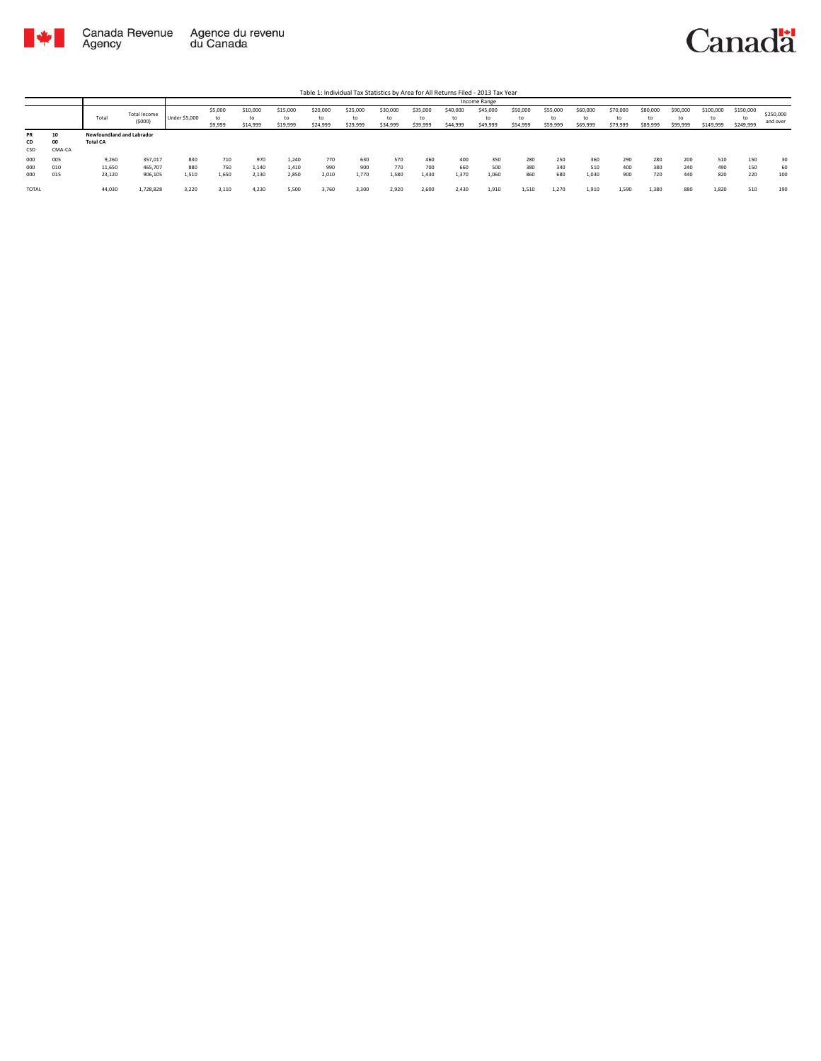

|                 |             |                                              |                        |                      |                          |                            |                      |                            |                            |                            |                            |                            | Income Range               |                            |                            |                            |                            |                            |                            |                        |                              |                       |
|-----------------|-------------|----------------------------------------------|------------------------|----------------------|--------------------------|----------------------------|----------------------|----------------------------|----------------------------|----------------------------|----------------------------|----------------------------|----------------------------|----------------------------|----------------------------|----------------------------|----------------------------|----------------------------|----------------------------|------------------------|------------------------------|-----------------------|
|                 |             | Total                                        | Total Income<br>(5000) | <b>Under \$5,000</b> | \$5,000<br>to<br>\$9,999 | \$10,000<br>to<br>\$14,999 | \$15,000<br>\$19,999 | \$20,000<br>to<br>\$24,999 | \$25,000<br>to<br>\$29,999 | \$30,000<br>to<br>\$34,999 | \$35,000<br>to<br>\$39,999 | \$40,000<br>to<br>\$44,999 | \$45,000<br>to<br>\$49,999 | \$50,000<br>to<br>\$54,999 | \$55,000<br>to<br>\$59,999 | \$60,000<br>to<br>\$69,999 | \$70,000<br>to<br>\$79,999 | \$80,000<br>to<br>\$89,999 | \$90,000<br>to<br>\$99,999 | \$100,000<br>\$149,999 | \$150,000<br>to<br>\$249,999 | \$250,000<br>and over |
| PR<br>CD<br>CSD | O<br>CMA-CA | Newfoundland and Labrador<br><b>Total CA</b> |                        |                      |                          |                            |                      |                            |                            |                            |                            |                            |                            |                            |                            |                            |                            |                            |                            |                        |                              |                       |
| 000             | 005         | 9,260                                        | 357,017                | 830                  | 710                      | 970                        | 1,240                | 770                        | 630                        | 570                        | 460                        | 400                        | 350                        | 280                        | 250                        | 360                        | 290                        | 280                        | 200                        | 510                    | 150                          | 30                    |
| 000             | 010         | 11,650                                       | 465,707                | 880                  | 750                      | 1,140                      | 1,410                | 990                        | 900                        | 770                        | 700                        | 660                        | 500                        | 380                        | 340                        | 510                        | 400                        | 380                        | 240                        | 490                    | 150                          | 60                    |
| 000             | 015         | 23,120                                       | 906,105                | 1,510                | 1,650                    | 2,130                      | 2,850                | 2,010                      | 1.770                      | 1,580                      | 1,430                      | 1,370                      | 1,060                      | 860                        | 680                        | 1,030                      | 900                        | 720                        | 440                        | 820                    | 220                          | 100                   |
| <b>TOTAL</b>    |             | 44,030                                       | 1,728,828              | 3.220                | 3.110                    | 4.230                      | 5,500                | 3.760                      | 3,300                      | 2,920                      | 2.600                      | 2,430                      | 1,910                      | 1,510                      | 1,270                      | 1.910                      | 1,590                      | 1,380                      | 880                        | 1,820                  | 510                          | 190                   |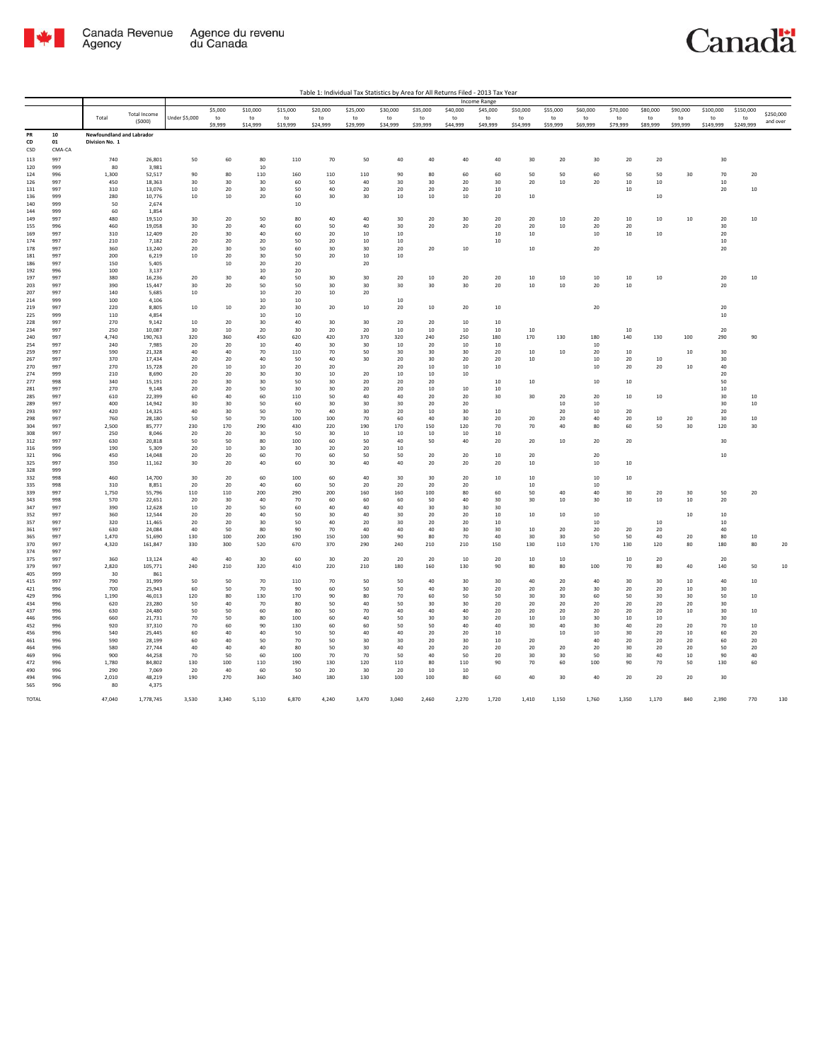

|              |            |                                  |                     |               |          |          |           |          |          |          |          |          | Income Range     |          |           |          |              |          |          |           |           |           |
|--------------|------------|----------------------------------|---------------------|---------------|----------|----------|-----------|----------|----------|----------|----------|----------|------------------|----------|-----------|----------|--------------|----------|----------|-----------|-----------|-----------|
|              |            |                                  | <b>Total Income</b> |               | \$5,000  | \$10,000 | \$15,000  | \$20,000 | \$25,000 | \$30,000 | \$35,000 | \$40,000 | \$45,000         | \$50,000 | \$55,000  | \$60,000 | \$70,000     | \$80,000 | \$90,000 | \$100,000 | \$150,000 | \$250,000 |
|              |            | Total                            | (5000)              | Under \$5,000 | to       | to       | to        | to       | to       | to       | to       | to       | to               | to       | to        | to       | to           | to       | to       | to        | to        | and over  |
|              |            |                                  |                     |               | \$9,999  | \$14,999 | \$19,999  | \$24,999 | \$29,999 | \$34,999 | \$39,999 | \$44,999 | \$49,999         | \$54,999 | \$59,999  | \$69,999 | \$79,999     | \$89,999 | \$99,999 | \$149,999 | \$249,999 |           |
| PR           | 10         | <b>Newfoundland and Labrador</b> |                     |               |          |          |           |          |          |          |          |          |                  |          |           |          |              |          |          |           |           |           |
| CD           | 01         | Division No. 1                   |                     |               |          |          |           |          |          |          |          |          |                  |          |           |          |              |          |          |           |           |           |
| CSD          | CMA-CA     |                                  |                     |               |          |          |           |          |          |          |          |          |                  |          |           |          |              |          |          |           |           |           |
| 113          | 997        | 740                              | 26,801              | 50            | 60       | 80       | 110       | 70       | 50       | 40       | 40       | 40       | 40               | 30       | 20        | 30       | 20           | 20       |          | 30        |           |           |
| 120          | 999        | 80                               | 3,981               |               |          | 10       |           |          |          |          |          |          |                  |          |           |          |              |          |          |           |           |           |
| 124          | 996        | 1.300                            | 52.517              | 90            | 80       | 110      | 160       | 110      | 110      | 90       | 80       | 60       | 60               | 50       | 50        | 60       | 50           | 50       | 30       | 70        | 20        |           |
| 126          | 997        | 450                              | 18,363              | 30            | 30       | 30       | 60        | 50       | 40       | 30       | 30       | 20       | 30               | 20       | 10        | 20       | $10\,$       | $10\,$   |          | $10\,$    |           |           |
| 131          | 997        | 310                              | 13,076              | 10            | 20       | 30       | 50        | 40       | 20       | 20       | 20       | 20       | 10               |          |           |          | $10\,$       |          |          | 20        | 10        |           |
| 136          | 999        | 280                              | 10,776              | 10            | 10       | 20       | 60        | 30       | 30       | $10\,$   | 10       | 10       | 20               | 10       |           |          |              | 10       |          |           |           |           |
| 140          | 999        | 50                               | 2,674               |               |          |          | 10        |          |          |          |          |          |                  |          |           |          |              |          |          |           |           |           |
| 144          | 999        | 60                               | 1,854               |               |          |          |           |          |          |          |          |          |                  |          |           |          |              |          |          |           |           |           |
| 149          | 997        | 480                              | 19,510              | 30            | 20       | 50       | 80        | 40       | 40       | 30       | 20       | 30       | 20               | 20       | 10        | 20       | $10\,$       | 10       | 10       | 20        | 10        |           |
| 155          | 996        | 460                              | 19,058              | 30            | 20       | 40       | 60        | 50       | 40       | 30       | 20       | 20       | 20               | 20       | 10        | 20       | 20           |          |          | 30        |           |           |
| 169          | 997        | 310                              | 12,409              | 20            | 30       | 40       | 60        | 20       | 10       | $10\,$   |          |          | 10               | 10       |           | 10       | $10\,$       | 10       |          | 20        |           |           |
| 174          | 997        | 210                              | 7,182               | 20            | 20       | 20       | 50        | 20       | 10       | 10       |          |          | 10               |          |           |          |              |          |          | 10        |           |           |
| 178          | 997        | 360                              | 13.240              | 20            | 30       | 50       | 60        | 30       | 30       | 20       | 20       | $10\,$   |                  | $10\,$   |           | 20       |              |          |          | 20        |           |           |
| 181          | 997        | 200                              | 6,219               | 10            | 20       | 30       | 50        | 20       | 10       | 10       |          |          |                  |          |           |          |              |          |          |           |           |           |
| 186          | 997        | 150                              | 5,405               |               | 10       | 20       | 20        |          | 20       |          |          |          |                  |          |           |          |              |          |          |           |           |           |
| 192          | 996        | 100                              | 3.137               |               |          | 10       | 20        |          |          |          |          |          |                  |          |           |          |              |          |          |           |           |           |
| 197          | 997        | 380                              | 16,236              | 20            | 30       | 40       | 50        | 30       | 30       | 20       | 10       | 20       | 20               | 10       | $10\,$    | 10       | $10\,$       | $10\,$   |          | 20        | $10\,$    |           |
| 203          | 997        | 390                              | 15,447              | 30            | 20       | 50       | 50        | 30       | 30       | 30       | 30       | 30       | 20               | $10\,$   | $10\,$    | 20       | 10           |          |          | 20        |           |           |
| 207          | 997        | 140                              | 5.685               | $10\,$        |          | 10       | 20        | $10\,$   | 20       |          |          |          |                  |          |           |          |              |          |          |           |           |           |
| 214          | 999        | 100                              | 4,106               |               |          | 10       | 10        |          |          | $10\,$   |          |          |                  |          |           |          |              |          |          |           |           |           |
| 219          | 997        | 220                              | 8.805               | 10            | $10\,$   | 20       | 30        | 20       | 10       | 20       | 10       | 20       | 10               |          |           | 20       |              |          |          | 20        |           |           |
| 225          | 999        | 110                              | 4,854               |               |          | 10       | 10        |          |          |          |          |          |                  |          |           |          |              |          |          | $10\,$    |           |           |
| 228          | 997        | 270                              | 9,142               | 10            | 20       | 30       | 40        | 30       | 30       | 20       | $20\,$   | 10       | 10               |          |           |          |              |          |          |           |           |           |
| 234          | 997        | 250                              | 10,087              | 30            | 10       | 20       | 30        | 20       | 20       | $10\,$   | 10       | 10       | 10               | 10       |           |          | $10\,$       |          |          | 20        |           |           |
| 240          | 997        | 4,740                            | 190,763             | 320           | 360      | 450      | 620       | 420      | 370      | 320      | 240      | 250      | 180              | 170      | 130       | 180      | 140          | 130      | 100      | 290       | 90        |           |
| 254          | 997        | 240                              | 7,985               | 20            | 20       | 10       | 40        | $30\,$   | 30       | $10\,$   | 20       | 10       | 10               |          |           | $10\,$   |              |          |          |           |           |           |
| 259          | 997        | 590                              | 21,328              | 40            | 40       | 70       | 110       | 70       | 50       | 30       | 30       | 30       | 20               | 10       | 10        | 20       | $10\,$       |          | 10       | 30        |           |           |
| 267          | 997        | 370                              | 17.434              | 20            | 20       | 40       | 50        | 40       | 30       | 20       | 30       | 20       | 20               | 10       |           | 10       | 20           | 10       |          | 30        |           |           |
| 270          | 997        | 270                              | 15,728              | 20            | 10       | 10       | 20        | 20       |          | 20       | 10       | $10\,$   | 10               |          |           | 10       | 20           | 20       | $10\,$   | 40        |           |           |
| 274          | 999        | 210                              | 8,690               | 20            | 20       | 30       | 30        | 10       | 20       | $10\,$   | 10       | 10       |                  |          |           |          |              |          |          | 20        |           |           |
| 277          | 998        | 340                              | 15.191              | 20            | 30       | 30       | 50        | 30       | 20       | 20       | 20       |          | 10 <sup>10</sup> | 10       |           | 10       | 10           |          |          | 50        |           |           |
| 281          | 997        | 270                              | 9,148               | $20\,$        | $20\,$   | 50       | 30        | 30       | 20       | 20       | $10\,$   | $10\,$   | $10\,$           |          |           |          |              |          |          | $10\,$    |           |           |
| 285          | 997        | 610                              | 22,399              | 60            | 40       | 60       | 110       | 50       | 40       | 40       | 20       | 20       | 30               | 30       | 20        | 20       | $10\,$       | $10\,$   |          | 30        | 10        |           |
| 289          | 997        | 400                              | 14.942              | 30            | 30       | 50       | 60        | 30       | 30       | 30       | 20       | 20       |                  |          | $10^{-1}$ | 10       |              |          |          | 30        | $10\,$    |           |
| 293          | 997        | 420                              | 14.325              | 40            | 30       | 50       | 70        | 40       | 30       | 20       | 10       | 30       | $10\,$           |          | 20        | 10       | 20           |          |          | 20        |           |           |
| 298          | 997        | 760                              | 28,180              | 50            | 50       | 70       | 100       | 100      | 70       | 60       | 40       | 30       | 20               | 20       | 20        | 40       | 20           | $10\,$   | 20       | 30        | 10        |           |
| 304          | 997        | 2.500                            | 85.777              | 230           | 170      | 290      | 430       | 220      | 190      | 170      | 150      | 120      | 70               | 70       | 40        | 80       | 60           | 50       | 30       | 120       | 30        |           |
| 308          | 997        | 250                              | 8,046               | 20            | 20       | 30       | 50        | 30       | $10\,$   | $10\,$   | 10       | $10\,$   | $10\,$           |          |           |          |              |          |          |           |           |           |
| 312          | 997        | 630                              | 20,818              | 50            | 50       | 80       | 100       | 60       | 50       | 40       | 50       | 40       | 20               | 20       | $10\,$    | 20       | 20           |          |          | 30        |           |           |
| 316          | 999        | 190                              | 5.309               | 20            | 10       | 30       | 30        | 20       | 20       | 10       |          |          |                  |          |           |          |              |          |          |           |           |           |
| 321          | 996        | 450                              | 14,048              | 20            | 20       | 60       | 70        | 60       | 50       | 50       | 20       | 20       | $10\,$           | 20       |           | 20       |              |          |          | $10$      |           |           |
| 325          | 997        | 350                              | 11,162              | 30            | 20       | 40       | 60        | 30       | 40       | 40       | 20       | 20       | 20               | $10\,$   |           | 10       | $10\,$       |          |          |           |           |           |
| 328          | 999        |                                  |                     |               |          |          |           |          |          |          |          |          |                  |          |           |          |              |          |          |           |           |           |
| 332          | 998        | 460                              | 14,700              | 30            | 20       | 60       | 100       | 60       | 40       | 30       | 30       | 20       | $10\,$           | $10\,$   |           | 10       | $10\,$       |          |          |           |           |           |
| 335          | 998        | 310                              | 8,851               | 20            | 20       | 40       | 60        | 50       | 20       | 20       | 20       | $20\,$   |                  | $10\,$   |           | $10\,$   |              |          |          |           |           |           |
| 339          | 997        | 1.750                            | 55.796              | 110           | 110      | 200      | 290       | 200      | 160      | 160      | 100      | 80       | 60               | 50       | 40        | 40       | 30           | 20       | 30       | 50        | 20        |           |
| 343          | 998        | 570                              | 22,651              | 20            | 30       | 40       | 70        | 60       | 60       | 60       | 50       | 40       | 30               | 30       | $10\,$    | 30       | $10\,$       | 10       | $10\,$   | 20        |           |           |
| 347          | 997        | 390                              | 12,628              | 10            | 20       | 50       | 60        | 40       | 40       | 40       | 30       | 30       | 30               |          |           |          |              |          |          |           |           |           |
| 352          | 997        | 360                              | 12,544              | 20            | 20       | 40       | 50        | 30       | 40       | 30       | 20       | 20       | 10               | 10       | $10\,$    | 10       |              |          | 10       | $10\,$    |           |           |
| 357          | 997        | 320                              | 11,465              | 20            | 20       | 30       | 50        | 40       | 20       | 30       | 20       | 20       | $10\,$           |          |           | 10       |              | $10\,$   |          | $10$      |           |           |
| 361          | 997        | 630                              | 24,084              | 40            | 50       | 80       | 90        | 70       | 40       | 40       | 40       | 30       | 30               | $10\,$   | 20        | 20       | 20           | 20       |          | 40        |           |           |
| 365          | 997        | 1,470                            | 51,690              | 130           | 100      | 200      | 190       | 150      | 100      | 90       | 80       | 70       | 40               | 30       | 30        | 50       | 50           | 40       | 20       | 80        | 10        |           |
| 370          | 997        | 4.320                            | 161.847             | 330           | 300      | 520      | 670       | 370      | 290      | 240      | 210      | 210      | 150              | 130      | 110       | 170      | 130          | 120      | 80       | 180       | 80        | 20        |
| 374          | 997        |                                  |                     |               |          |          |           |          |          |          |          |          |                  |          |           |          |              |          |          |           |           |           |
| 375          | 997        | 360                              | 13.124              | 40            | 40       | 30       | 60        | 30       | 20       | 20       | 20       | 10       | 20               | 10       | 10        |          | 10           | 20       |          | 20        |           |           |
| 379          | 997        | 2,820                            | 105,771             | 240           | 210      | 320      | 410       | 220      | 210      | 180      | 160      | 130      | 90               | 80       | 80        | 100      | 70           | 80       | 40       | 140       | 50        | $10\,$    |
| 405          | 999        | 30                               | 861                 |               |          |          |           |          |          |          |          |          |                  |          |           |          |              |          |          |           |           |           |
| 415          | 997        | 790                              | 31,999              | 50            | 50       | 70       | 110       | 70       | 50       | 50       | 40       | 30       | 30               | 40       | 20        | 40       | 30           | 30       | 10       | 40        | $10\,$    |           |
| 421          | 996        | 700                              | 25.943              | 60            | 50       | 70       | 90        | 60       | 50       | 50       | 40       | 30       | 20               | 20       | 20        | 30       | 20           | 20       | 10       | 30        |           |           |
| 429          | 996        | 1,190                            | 46,013              | 120           | 80       | 130      | 170       | 90       | 80       | 70       | 60       | 50       | 50               | 30       | 30        | 60       | 50           | 30       | 30       | 50        | $10\,$    |           |
| 434          | 996        | 620                              | 23,280              | 50            | 40       | 70       | 80        | 50       | 40       | 50       | 30       | 30       | 20               | 20       | 20        | 20       | 20           | 20       | 20       | 30        |           |           |
| 437          | 996        | 630                              | 24,480              | 50            | 50       | 60       | 80        | 50       | 70       | 40       | 40       | 40       | 20               | 20       | 20        | 20       | 20           | 20       | 10       | 30        | 10        |           |
| 446          | 996        | 660                              | 21,731              | 70            | 50       | 80       | 100       | 60       | 40       | 50       | 30       | 30       | 20               | $10\,$   | $10\,$    | 30       | $10\,$       | $10\,$   |          | 30        |           |           |
| 452          | 996        | 920                              | 37,310              | 70            | 60       | 90       | 130       | 60       | 60       | 50       | 50       | 40       | 40               | 30       | 40        | 30       | 40           | 20       | 20       | 70        | 10        |           |
| 456          | 996        | 540                              | 25.445              | 60            | 40       | 40       | 50        | 50       | 40       | 40       | 20       | 20       | 10               |          | 10        | 10       | $30^{\circ}$ | 20       | 10       | 60        | 20        |           |
| 461          | 996        | 590                              | 28,199              | 60            | 40       | 50       | 70        | 50       | 30       | 30       | 20       | 30       | $10\,$           | 20       |           | 40       | 20           | 20       | 20       | 60        | 20        |           |
| 464          | 996        | 580<br>900                       | 27,744              | 40<br>70      | 40<br>50 | 40<br>60 | 80<br>100 | 50<br>70 | 30       | 40<br>50 | 20<br>40 | 20<br>50 | 20<br>20         | 20<br>30 | 20        | 20<br>50 | 30<br>30     | 20<br>40 | 20<br>10 | 50<br>90  | 20<br>40  |           |
| 469          | 996        |                                  | 44.258              |               |          |          |           |          | 70       |          |          |          |                  |          | 30        |          |              |          |          |           |           |           |
| 472          | 996        | 1,780                            | 84,802              | 130           | 100      | 110      | 190       | 130      | 120      | 110      | 80       | 110      | 90               | 70       | 60        | 100      | 90           | 70       | 50       | 130       | 60        |           |
| 490          | 996        | 290                              | 7,069               | 20            | 40       | 60       | 50        | 20       | 30       | 20       | $10$     | $10\,$   |                  |          |           |          |              |          |          |           |           |           |
| 494<br>565   | 996<br>996 | 2,010<br>80                      | 48,219<br>4,375     | 190           | 270      | 360      | 340       | 180      | 130      | 100      | 100      | 80       | 60               | 40       | 30        | 40       | 20           | 20       | 20       | 30        |           |           |
|              |            |                                  |                     |               |          |          |           |          |          |          |          |          |                  |          |           |          |              |          |          |           |           |           |
| <b>TOTAL</b> |            | 47.040                           | 1.778.745           | 3.530         | 3.340    | 5.110    | 6.870     | 4.240    | 3.470    | 3.040    | 2.460    | 2.270    | 1.720            | 1.410    | 1.150     | 1.760    | 1.350        | 1.170    | 840      | 2.390     | 770       | 130       |
|              |            |                                  |                     |               |          |          |           |          |          |          |          |          |                  |          |           |          |              |          |          |           |           |           |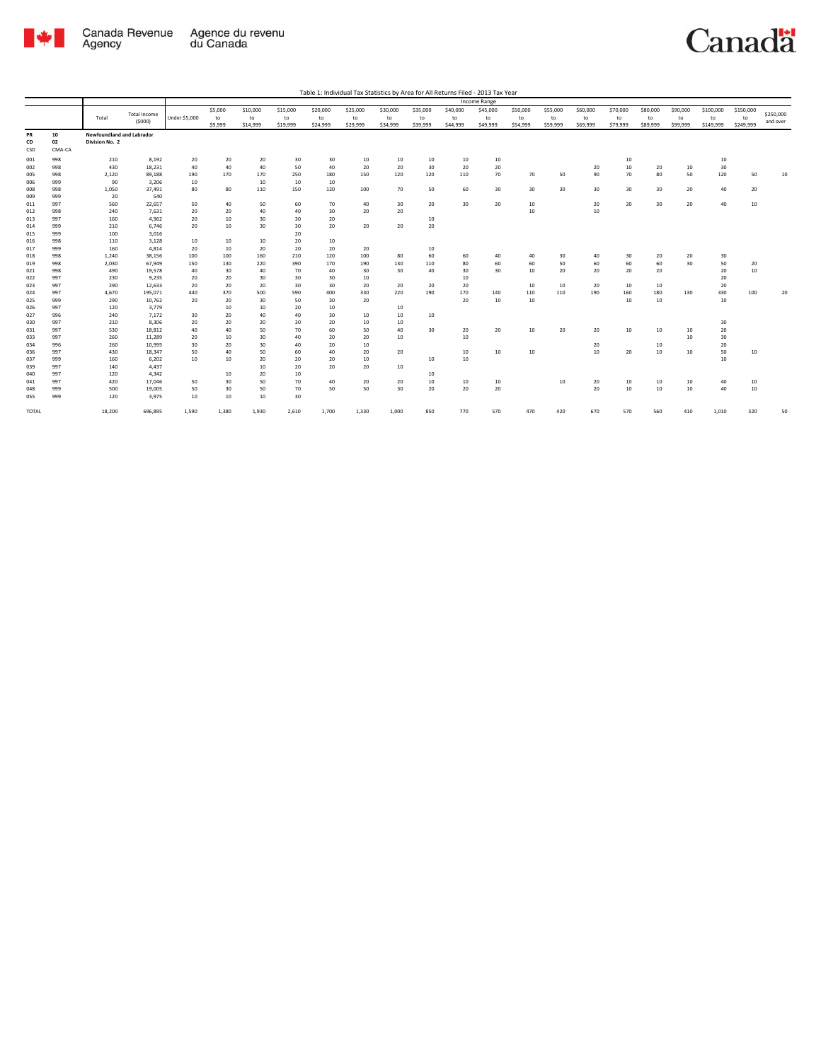

| Table 1: Individual Tax Statistics by Area for All Returns Filed - 2013 Tax Year |  |  |  |
|----------------------------------------------------------------------------------|--|--|--|
|                                                                                  |  |  |  |

|              |            |                           |                     |               |          |          |          |          |           |          |          |           | Income Range |           |          |          |           |          |          |           |           |           |
|--------------|------------|---------------------------|---------------------|---------------|----------|----------|----------|----------|-----------|----------|----------|-----------|--------------|-----------|----------|----------|-----------|----------|----------|-----------|-----------|-----------|
|              |            |                           | <b>Total Income</b> |               | \$5,000  | \$10,000 | \$15,000 | \$20,000 | \$25,000  | \$30,000 | \$35,000 | \$40,000  | \$45,000     | \$50,000  | \$55,000 | \$60,000 | \$70,000  | \$80,000 | \$90,000 | \$100,000 | \$150,000 | \$250,000 |
|              |            | Total                     | (5000)              | Under \$5,000 | to       | to       | to       | to       | to        | to       | to       | to        | to           | to        | to       | to       | to        | to       | to       | to        | to        |           |
|              |            |                           |                     |               | \$9,999  | \$14,999 | \$19,999 | \$24,999 | \$29,999  | \$34,999 | \$39,999 | \$44,999  | \$49,999     | \$54,999  | \$59,999 | \$69,999 | \$79,999  | \$89,999 | \$99,999 | \$149,999 | \$249,999 | and over  |
| PR           | 10         | Newfoundland and Labrador |                     |               |          |          |          |          |           |          |          |           |              |           |          |          |           |          |          |           |           |           |
| CD           | 02         | Division No. 2            |                     |               |          |          |          |          |           |          |          |           |              |           |          |          |           |          |          |           |           |           |
| CSD          | CMA-CA     |                           |                     |               |          |          |          |          |           |          |          |           |              |           |          |          |           |          |          |           |           |           |
| 001          | 998        | 210                       | 8,192               | 20            | 20       | 20       | 30       | 30       | 10        | 10       | 10       | 10        | 10           |           |          |          | 10        |          |          | 10        |           |           |
| 002          | 998        | 430                       | 18,231              | 40            | 40       | 40       | 50       | 40       | 20        | 20       | 30       | 20        | 20           |           |          | 20       | 10        | 20       | $10\,$   | 30        |           |           |
| 005          | 998        | 2,120                     | 89,188              | 190           | 170      | 170      | 250      | 180      | 150       | 120      | 120      | 110       | 70           | 70        | 50       | 90       | 70        | 80       | 50       | 120       | 50        | 10        |
| 006          | 999        | 90                        | 3,206               | 10            |          | 10       | 10       | 10       |           |          |          |           |              |           |          |          |           |          |          |           |           |           |
| 008          | 998        | 1,050                     | 37,491              | 80            | 80       | 110      | 150      | 120      | 100       | 70       | 50       | 60        | 30           | 30        | 30       | 30       | 30        | 30       | 20       | 40        | 20        |           |
| 009          | 999        | 20                        | 540                 |               |          |          |          |          |           |          |          |           |              |           |          |          |           |          |          |           |           |           |
| 011          | 997        | 560                       | 22,657              | 50            | 40       | 50       | 60       | 70       | 40        | 30       | 20       | 30        | 20           | 10        |          | 20       | 20        | 30       | 20       | 40        | 10        |           |
| 012          | 998        | 240                       | 7,631               | 20            | 20       | 40       | 40       | 30       | 20        | 20       |          |           |              | 10        |          | 10       |           |          |          |           |           |           |
| 013          | 997        | 160                       | 4,962               | 20            | 10       | 30       | 30       | 20       |           |          | 10       |           |              |           |          |          |           |          |          |           |           |           |
| 014          | 999        | 210                       | 6,746               | 20            | 10       | 30       | 30       | 20       | 20        | 20       | 20       |           |              |           |          |          |           |          |          |           |           |           |
| 015          | 999        | 100                       | 3,016               |               |          |          | 20       |          |           |          |          |           |              |           |          |          |           |          |          |           |           |           |
| 016          | 998        | 110                       | 3,128               | 10            | 10       | 10       | 20       | 10       |           |          |          |           |              |           |          |          |           |          |          |           |           |           |
| 017          | 999        | 160                       | 4,814               | 20            | 10       | 20       | 20       | 20       | 20        |          | 10       |           |              |           |          |          |           |          |          |           |           |           |
| 018          | 998        | 1,240                     | 38,156              | 100           | 100      | 160      | 210      | 120      | 100       | 80       | 60       | 60        | 40           | 40        | 30       | 40       | 30        | 20       | 20       | 30        |           |           |
| 019          | 998        | 2,030                     | 67,949              | 150           | 130      | 220      | 390      | 170      | 190       | 130      | 110      | 80        | 60           | 60        | 50       | 60       | 60        | 60       | 30       | 50        | 20        |           |
| 021          | 998        | 490                       | 19,578              | 40            | 30       | 40       | 70       | 40       | 30        | 30       | 40       | 30        | 30           | 10        | 20       | 20       | 20        | 20       |          | 20        | 10        |           |
| 022          | 997        | 230                       | 9.235               | 20            | 20       | 30       | 30       | 30       | 10        |          |          | 10        |              |           |          |          |           |          |          | 20        |           |           |
| 023          | 997        | 290                       | 12,633              | 20            | 20       | 20       | 30       | 30       | 20        | 20       | 20       | 20        |              | 10        | 10       | 20       | 10        | 10       |          | 20        |           |           |
| 024          | 997        | 4,670                     | 195,071             | 440<br>20     | 370      | 500      | 590      | 400      | 330<br>20 | 220      | 190      | 170<br>20 | 140<br>10    | 110<br>10 | 110      | 190      | 160<br>10 | 180      | 130      | 330       | 100       | 20        |
| 025<br>026   | 999<br>997 | 290<br>120                | 10,762<br>3,779     |               | 20<br>10 | 30<br>10 | 50<br>20 | 30<br>10 |           | 10       |          |           |              |           |          |          |           | 10       |          | 10        |           |           |
| 027          | 996        | 240                       | 7.172               | 30            | 20       | 40       | 40       | 30       | 10        | 10       | 10       |           |              |           |          |          |           |          |          |           |           |           |
| 030          | 997        | 210                       | 8.306               | 20            | 20       | 20       | 30       | 20       | 10        | 10       |          |           |              |           |          |          |           |          |          | 30        |           |           |
| 031          | 997        | 530                       | 18.812              | 40            | 40       | 50       | 70       | 60       | 50        | 40       | 30       | 20        | 20           | 10        | 20       | 20       | 10        | 10       | 10       | 20        |           |           |
| 033          | 997        | 260                       | 11,289              | 20            | 10       | 30       | 40       | 20       | 20        | 10       |          | 10        |              |           |          |          |           |          | $10\,$   | 30        |           |           |
| 034          | 996        | 260                       | 10,995              | 30            | 20       | 30       | 40       | 20       | 10        |          |          |           |              |           |          | 20       |           | 10       |          | 20        |           |           |
| 036          | 997        | 430                       | 18,347              | 50            | 40       | 50       | 60       | 40       | 20        | 20       |          | 10        | 10           | 10        |          | $10$     | 20        | 10       | $10\,$   | 50        | 10        |           |
| 037          | 999        | 160                       | 6,202               | 10            | 10       | 20       | 20       | 20       | 10        |          | 10       | 10        |              |           |          |          |           |          |          | 10        |           |           |
| 039          | 997        | 140                       | 4,437               |               |          | 10       | 20       | 20       | 20        | 10       |          |           |              |           |          |          |           |          |          |           |           |           |
| 040          | 997        | 120                       | 4,342               |               | 10       | 20       | 10       |          |           |          | 10       |           |              |           |          |          |           |          |          |           |           |           |
| 041          | 997        | 420                       | 17,046              | 50            | 30       | 50       | 70       | 40       | 20        | 20       | 10       | 10        | 10           |           | 10       | 20       | 10        | 10       | 10       | 40        | 10        |           |
| 048          | 999        | 500                       | 19.005              | 50            | 30       | 50       | 70       | 50       | 50        | 30       | 20       | 20        | 20           |           |          | 20       | 10        | 10       | $10\,$   | 40        | 10        |           |
| 055          | 999        | 120                       | 3.975               | 10            | 10       | 10       | 30       |          |           |          |          |           |              |           |          |          |           |          |          |           |           |           |
| <b>TOTAL</b> |            | 18,200                    | 696,895             | 1,590         | 1,380    | 1,930    | 2,610    | 1,700    | 1,330     | 1,000    | 850      | 770       | 570          | 470       | 420      | 670      | 570       | 560      | 410      | 1,010     | 320       | 50        |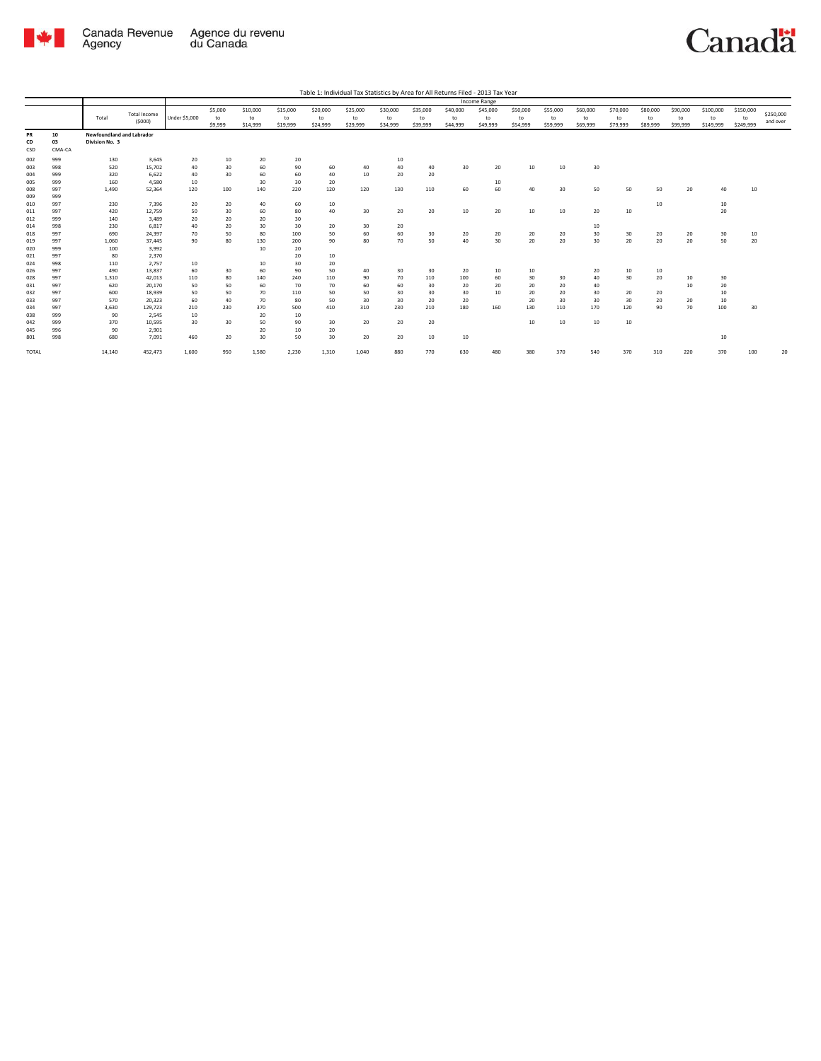

|              |            |                           |                     |                      |           |           |           |           |           |           |           |           | Income Range |           |           |           |                 |          |          |           |           |           |
|--------------|------------|---------------------------|---------------------|----------------------|-----------|-----------|-----------|-----------|-----------|-----------|-----------|-----------|--------------|-----------|-----------|-----------|-----------------|----------|----------|-----------|-----------|-----------|
|              |            |                           | <b>Total Income</b> |                      | \$5,000   | \$10,000  | \$15,000  | \$20,000  | \$25,000  | \$30,000  | \$35,000  | \$40,000  | \$45,000     | \$50,000  | \$55,000  | \$60,000  | \$70,000        | \$80,000 | \$90,000 | \$100,000 | \$150,000 | \$250,000 |
|              |            | Total                     | (5000)              | <b>Under \$5,000</b> | to        | to        | to        | to        | to        | to        | to        | to        | to           | to        | to        | to        | to              | to       | to       | to        | to        | and over  |
|              |            |                           |                     |                      | \$9,999   | \$14,999  | \$19,999  | \$24,999  | \$29,999  | \$34,999  | \$39,999  | \$44,999  | \$49,999     | \$54,999  | \$59,999  | \$69,999  | \$79,999        | \$89,999 | \$99,999 | \$149,999 | \$249,999 |           |
| <b>PR</b>    | 10         | Newfoundland and Labrador |                     |                      |           |           |           |           |           |           |           |           |              |           |           |           |                 |          |          |           |           |           |
| CD           | 03         | Division No. 3            |                     |                      |           |           |           |           |           |           |           |           |              |           |           |           |                 |          |          |           |           |           |
| CSD          | CMA-CA     |                           |                     |                      |           |           |           |           |           |           |           |           |              |           |           |           |                 |          |          |           |           |           |
| 002          | 999        | 130                       | 3,645               | 20                   | $10$      | 20        | 20        |           |           | 10        |           |           |              |           |           |           |                 |          |          |           |           |           |
| 003          | 998        | 520                       | 15,702              | 40                   | 30        | 60        | 90        | 60        | 40        | 40        | 40        | 30        | 20           | 10        | 10        | 30        |                 |          |          |           |           |           |
| 004          | 999        | 320                       | 6,622               | 40                   | 30        | 60        | 60        | 40        | 10        | 20        | 20        |           |              |           |           |           |                 |          |          |           |           |           |
| 005          | 999        | 160                       | 4.580               | 10                   |           | 30        | 30        | 20        |           |           |           |           | 10           |           |           |           |                 |          |          |           |           |           |
| 008          | 997        | 1,490                     | 52,364              | 120                  | 100       | 140       | 220       | 120       | 120       | 130       | 110       | 60        | 60           | 40        | 30        | 50        | 50              | 50       | 20       | 40        | 10        |           |
| 009          | 999        |                           |                     |                      |           |           |           |           |           |           |           |           |              |           |           |           |                 |          |          |           |           |           |
| 010          | 997        | 230                       | 7,396               | 20                   | 20        | 40        | 60        | 10        |           |           |           |           |              |           |           |           |                 | 10       |          | 10        |           |           |
| 011          | 997        | 420                       | 12,759              | 50                   | 30        | 60        | 80        | 40        | 30        | 20        | 20        | 10        | 20           | 10        | $10\,$    | 20        | 10              |          |          | 20        |           |           |
| 012          | 999        | 140                       | 3.489               | 20                   | 20        | 20        | 30        |           |           |           |           |           |              |           |           |           |                 |          |          |           |           |           |
| 014          | 998        | 230                       | 6.817               | 40                   | 20        | 30        | 30        | 20        | 30        | 20        |           |           |              |           |           | 10        |                 |          |          |           |           |           |
| 018          | 997        | 690                       | 24,397              | 70                   | 50        | 80        | 100       | 50        | 60        | 60        | 30        | 20        | 20           | 20        | 20        | 30        | 30              | 20       | 20       | 30        | 10        |           |
| 019          | 997        | 1,060                     | 37,445              | 90                   | 80        | 130       | 200       | 90        | 80        | 70        | 50        | 40        | 30           | 20        | 20        | 30        | 20              | 20       | 20       | 50        | 20        |           |
| 020          | 999        | 100                       | 3,992               |                      |           | 10        | 20        |           |           |           |           |           |              |           |           |           |                 |          |          |           |           |           |
| 021          | 997        | 80                        | 2,370               |                      |           |           | 20        | 10        |           |           |           |           |              |           |           |           |                 |          |          |           |           |           |
| 024          | 998        | 110                       | 2,757               | 10                   |           | 10        | 30        | 20        |           |           |           |           |              |           |           |           |                 |          |          |           |           |           |
| 026          | 997        | 490                       | 13,837              | 60                   | 30        | 60        | 90        | 50        | 40        | 30        | 30        | 20        | 10           | 10        |           | 20        | 10              | 10       |          |           |           |           |
| 028          | 997        | 1,310                     | 42,013              | 110                  | 80        | 140       | 240       | 110       | 90        | 70        | 110       | 100       | 60           | 30        | 30        | 40        | 30 <sub>2</sub> | 20       | 10       | 30        |           |           |
| 031          | 997        | 620                       | 20.170              | 50                   | 50        | 60        | 70        | 70        | 60        | 60        | 30        | 20        | 20           | 20        | 20        | 40        |                 |          | 10       | 20        |           |           |
| 032          | 997        | 600                       | 18.939              | 50                   | 50        | 70        | 110       | 50        | 50        | 30        | 30        | 30        | 10           | 20        | 20        | 30        | 20              | 20       |          | 10        |           |           |
| 033<br>034   | 997<br>997 | 570<br>3,630              | 20,323<br>129,723   | 60<br>210            | 40<br>230 | 70<br>370 | 80<br>500 | 50<br>410 | 30<br>310 | 30<br>230 | 20<br>210 | 20<br>180 | 160          | 20<br>130 | 30<br>110 | 30<br>170 | 30<br>120       | 20<br>90 | 20<br>70 | 10<br>100 | 30        |           |
| 038          | 999        | 90                        | 2,545               | 10                   |           | 20        | 10        |           |           |           |           |           |              |           |           |           |                 |          |          |           |           |           |
| 042          | 999        | 370                       | 10.595              | 30                   | 30        | 50        | 90        | 30        | 20        | 20        | 20        |           |              | 10        | $10\,$    | 10        | 10              |          |          |           |           |           |
| 045          | 996        | 90                        | 2,901               |                      |           | 20        | 10        | 20        |           |           |           |           |              |           |           |           |                 |          |          |           |           |           |
| 801          | 998        | 680                       | 7,091               | 460                  | 20        | 30        | 50        | 30        | 20        | 20        | 10        | 10        |              |           |           |           |                 |          |          | 10        |           |           |
|              |            |                           |                     |                      |           |           |           |           |           |           |           |           |              |           |           |           |                 |          |          |           |           |           |
| <b>TOTAL</b> |            | 14,140                    | 452,473             | 1,600                | 950       | 1,580     | 2,230     | 1,310     | 1,040     | 880       | 770       | 630       | 480          | 380       | 370       | 540       | 370             | 310      | 220      | 370       | 100       | 20        |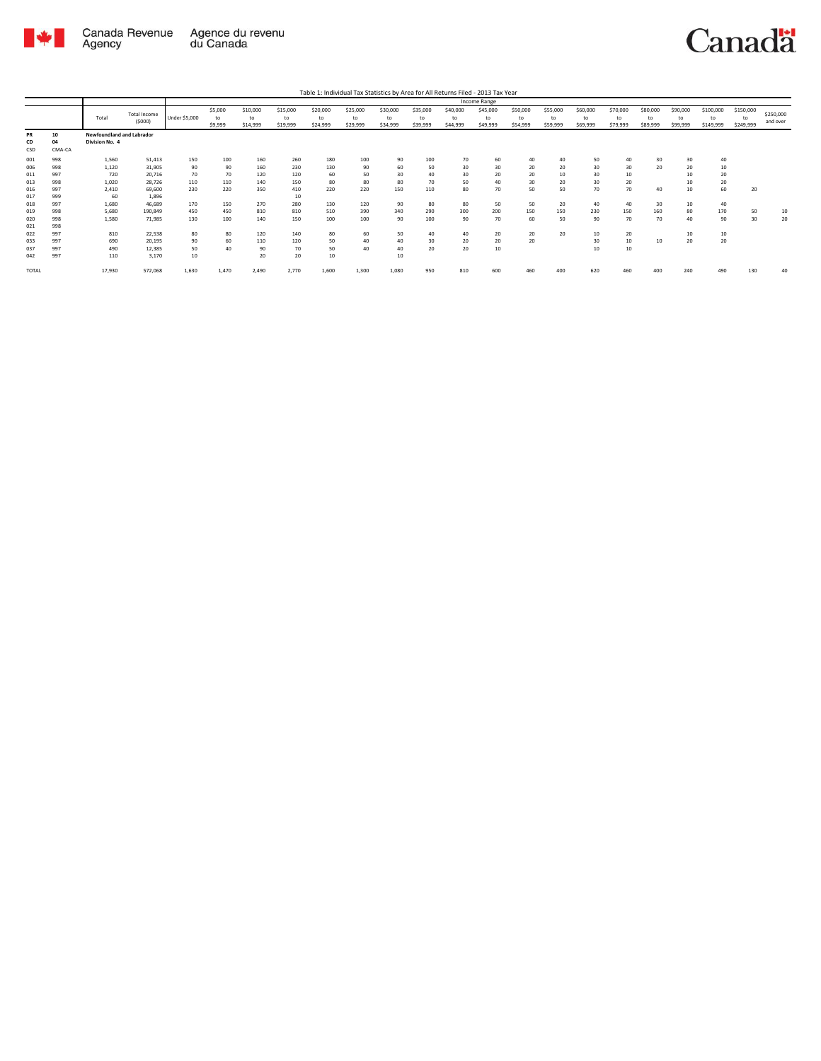

|       |        |                           |              |               |         |          |          |          |          |          |          |          | Income Range |          |          |          |          |          |          |           |           |           |
|-------|--------|---------------------------|--------------|---------------|---------|----------|----------|----------|----------|----------|----------|----------|--------------|----------|----------|----------|----------|----------|----------|-----------|-----------|-----------|
|       |        |                           | Total Income |               | \$5,000 | \$10,000 | \$15,000 | \$20,000 | \$25,000 | \$30,000 | \$35,000 | \$40,000 | \$45,000     | \$50,000 | \$55,000 | \$60,000 | \$70,000 | \$80,000 | \$90,000 | \$100,000 | \$150,000 | \$250,000 |
|       |        | Total                     | (5000)       | Under \$5,000 | to      | to       | to       | to       | to       | to       | to       | to       | to           | to       | to       | to       | to       | to       | to       | to        | to        | and over  |
|       |        |                           |              |               | \$9,999 | \$14,999 | \$19,999 | \$24,999 | \$29,999 | \$34,999 | \$39,999 | \$44,999 | \$49,999     | \$54,999 | \$59,999 | \$69,999 | \$79,999 | \$89,999 | \$99,999 | \$149,999 | \$249,999 |           |
| PR    | 10     | Newfoundland and Labrador |              |               |         |          |          |          |          |          |          |          |              |          |          |          |          |          |          |           |           |           |
| CD    | 04     | Division No. 4            |              |               |         |          |          |          |          |          |          |          |              |          |          |          |          |          |          |           |           |           |
| CSD   | CMA-CA |                           |              |               |         |          |          |          |          |          |          |          |              |          |          |          |          |          |          |           |           |           |
| 001   | 998    | 1,560                     | 51,413       | 150           | 100     | 160      | 260      | 180      | 100      | 90       | 100      | 70       | 60           | 40       | 40       | 50       | 40       | 30       | 30       | 40        |           |           |
| 006   | 998    | 1,120                     | 31,905       | 90            | 90      | 160      | 230      | 130      | 90       | 60       | 50       | 30       | 30           | 20       | 20       | 30       | 30       | 20       | 20       | 10        |           |           |
| 011   | 997    | 720                       | 20,716       | 70            | 70      | 120      | 120      | 60       | 50       | 30       | 40       | 30       | 20           | 20       | 10       | 30       | 10       |          | 10       | 20        |           |           |
| 013   | 998    | 1,020                     | 28,726       | 110           | 110     | 140      | 150      | 80       | 80       | 80       | 70       | 50       | 40           | 30       | 20       | 30       | 20       |          | 10       | 20        |           |           |
| 016   | 997    | 2,410                     | 69,600       | 230           | 220     | 350      | 410      | 220      | 220      | 150      | 110      | 80       | 70           | 50       | 50       | 70       | 70       | 40       | 10       | 60        | 20        |           |
| 017   | 999    | 60                        | 1.896        |               |         |          | 10       |          |          |          |          |          |              |          |          |          |          |          |          |           |           |           |
| 018   | 997    | 1,680                     | 46,689       | 170           | 150     | 270      | 280      | 130      | 120      | 90       | 80       | 80       | 50           | 50       | 20       | 40       | 40       | 30       | 10       | 40        |           |           |
| 019   | 998    | 5,680                     | 190,849      | 450           | 450     | 810      | 810      | 510      | 390      | 340      | 290      | 300      | 200          | 150      | 150      | 230      | 150      | 160      | 80       | 170       | 50        | 10        |
| 020   | 998    | 1,580                     | 71,985       | 130           | 100     | 140      | 150      | 100      | 100      | 90       | 100      | 90       | 70           | 60       | 50       | 90       | 70       | 70       | 40       | 90        | 30        | 20        |
| 021   | 998    |                           |              |               |         |          |          |          |          |          |          |          |              |          |          |          |          |          |          |           |           |           |
| 022   | 997    | 810                       | 22,538       | 80            | 80      | 120      | 140      | 80       | 60       | 50       | 40       | 40       | 20           | 20       | 20       | 10       | 20       |          | 10       | 10        |           |           |
| 033   | 997    | 690                       | 20,195       | 90            | 60      | 110      | 120      | 50       | 40       | 40       | 30       | 20       | 20           | 20       |          | 30       | 10       | 10       | 20       | 20        |           |           |
| 037   | 997    | 490                       | 12,385       | 50            | 40      | 90       | 70       | 50       | 40       | 40       | 20       | 20       | 10           |          |          | 10       | 10       |          |          |           |           |           |
| 042   | 997    | 110                       | 3,170        | 10            |         | 20       | 20       | 10       |          | 10       |          |          |              |          |          |          |          |          |          |           |           |           |
| TOTAL |        | 17,930                    | 572,068      | 1,630         | 1,470   | 2,490    | 2,770    | 1,600    | 1,300    | 1,080    | 950      | 810      | 600          | 460      | 400      | 620      | 460      | 400      | 240      | 490       | 130       | 40        |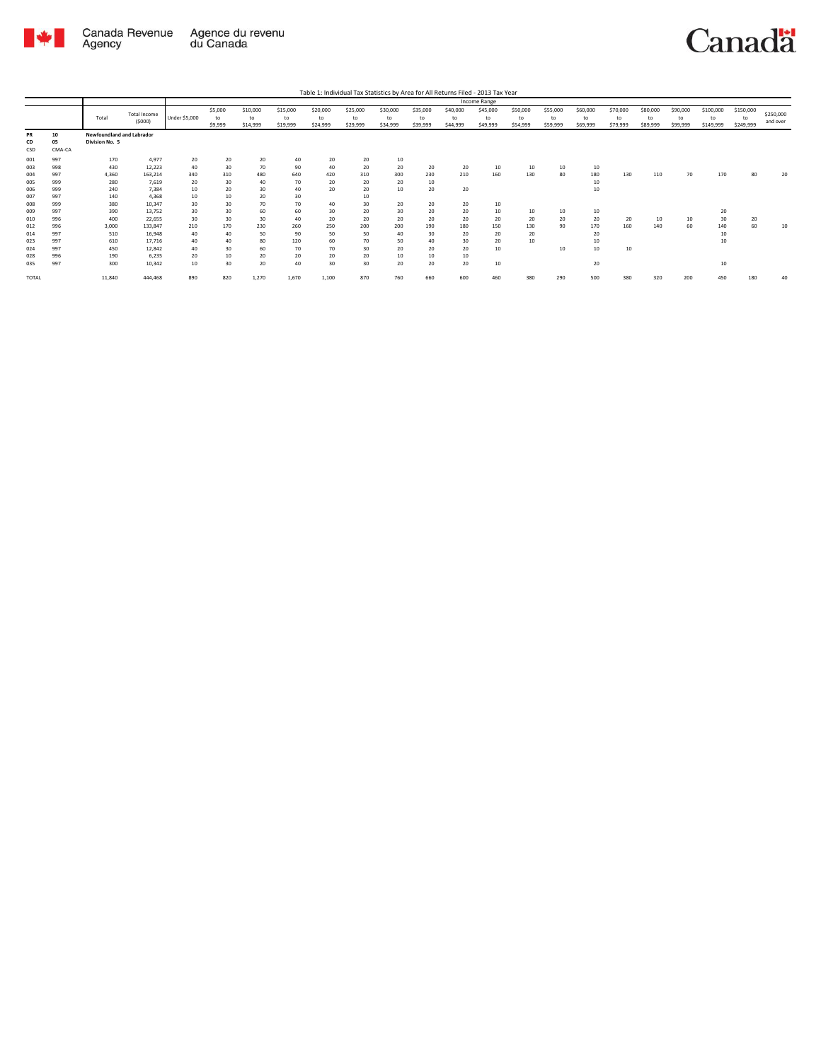

| Table 1: Individual Tax Statistics by Area for All Returns Filed - 2013 Tax Year |  |  |  |  |
|----------------------------------------------------------------------------------|--|--|--|--|
|                                                                                  |  |  |  |  |

|                 |                    |                                             |                        |               |                          |                            |                            |                            |                            |                            |                            |                            | Income Range               |                            |                            |                            |                            |                            |                            |                              |                              |                       |
|-----------------|--------------------|---------------------------------------------|------------------------|---------------|--------------------------|----------------------------|----------------------------|----------------------------|----------------------------|----------------------------|----------------------------|----------------------------|----------------------------|----------------------------|----------------------------|----------------------------|----------------------------|----------------------------|----------------------------|------------------------------|------------------------------|-----------------------|
|                 |                    | Total                                       | Total Income<br>(5000) | Under \$5,000 | \$5,000<br>to<br>\$9,999 | \$10,000<br>to<br>\$14,999 | \$15,000<br>to<br>\$19,999 | \$20,000<br>to<br>\$24,999 | \$25,000<br>to<br>\$29,999 | \$30,000<br>to<br>\$34,999 | \$35,000<br>to<br>\$39,999 | \$40,000<br>to<br>\$44,999 | \$45,000<br>to<br>\$49,999 | \$50,000<br>to<br>\$54,999 | \$55,000<br>to<br>\$59,999 | \$60,000<br>to<br>\$69,999 | \$70,000<br>to<br>\$79,999 | \$80,000<br>to<br>\$89,999 | \$90,000<br>to<br>\$99,999 | \$100,000<br>to<br>\$149,999 | \$150,000<br>to<br>\$249,999 | \$250,000<br>and over |
| PR<br>CD<br>CSD | 10<br>05<br>CMA-CA | Newfoundland and Labrador<br>Division No. 5 |                        |               |                          |                            |                            |                            |                            |                            |                            |                            |                            |                            |                            |                            |                            |                            |                            |                              |                              |                       |
| 001             | 997                | 170                                         | 4,977                  | 20            | 20                       | 20                         | 40                         | 20                         | 20                         | 10                         |                            |                            |                            |                            |                            |                            |                            |                            |                            |                              |                              |                       |
| 003             | 998                | 430                                         | 12,223                 | 40            | 30                       | 70                         | 90                         | 40                         | 20                         | 20                         | 20                         | 20                         | 10                         | 10                         | 10                         | 10                         |                            |                            |                            |                              |                              |                       |
| 004             | 997                | 4,360                                       | 163,214                | 340           | 310                      | 480                        | 640                        | 420                        | 310                        | 300                        | 230                        | 210                        | 160                        | 130                        | 80                         | 180                        | 130                        | 110                        | 70                         | 170                          | 80                           | 20                    |
| 005             | 999                | 280                                         | 7,619                  | 20            | 30                       | 40                         | 70                         | 20                         | 20                         | 20                         | 10                         |                            |                            |                            |                            | 10                         |                            |                            |                            |                              |                              |                       |
| 006             | 999                | 240                                         | 7.384                  | 10            | 20                       | 30                         | 40                         | 20                         | 20                         | 10                         | 20                         | 20                         |                            |                            |                            | 10                         |                            |                            |                            |                              |                              |                       |
| 007             | 997                | 140                                         | 4.368                  | 10            | 10                       | 20                         | 30                         |                            | 10                         |                            |                            |                            |                            |                            |                            |                            |                            |                            |                            |                              |                              |                       |
| 008             | 999                | 380                                         | 10,347                 | 30            | 30                       | 70                         | 70                         | 40                         | 30                         | 20                         | 20                         | 20                         | 10                         |                            |                            |                            |                            |                            |                            |                              |                              |                       |
| 009             | 997                | 390                                         | 13,752                 | 30            | 30                       | 60                         | 60                         | 30                         | 20                         | 30                         | 20                         | 20                         | 10                         | 10                         | 10                         | 10                         |                            |                            |                            | 20                           |                              |                       |
| 010             | 996                | 400                                         | 22,655                 | 30            | 30                       | 30                         | 40                         | 20                         | 20                         | 20                         | 20                         | 20                         | 20                         | 20                         | 20                         | 20                         | 20                         | 10                         | 10                         | 30                           | 20                           |                       |
| 012             | 996                | 3.000                                       | 133,847                | 210           | 170                      | 230                        | 260                        | 250                        | 200                        | 200                        | 190                        | 180                        | 150                        | 130                        | 90                         | 170                        | 160                        | 140                        | 60                         | 140                          | 60                           | 10                    |
| 014             | 997                | 510                                         | 16,948                 | 40            | 40                       | 50                         | 90                         | 50                         | 50                         | 40                         | 30                         | 20                         | 20                         | 20                         |                            | 20                         |                            |                            |                            | 10                           |                              |                       |
| 023             | 997                | 610                                         | 17,716                 | 40            | 40                       | 80                         | 120                        | 60                         | 70                         | 50                         | 40                         | 30                         | 20                         | 10                         |                            | 10                         |                            |                            |                            | 10                           |                              |                       |
| 024             | 997                | 450                                         | 12,842                 | 40            | 30                       | 60                         | 70                         | 70                         | 30                         | 20                         | 20                         | 20                         | 10                         |                            | 10                         | 10                         | 10                         |                            |                            |                              |                              |                       |
| 028             | 996                | 190                                         | 6,235                  | 20            | 10                       | 20                         | 20                         | 20                         | 20                         | 10                         | 10                         | 10                         |                            |                            |                            |                            |                            |                            |                            |                              |                              |                       |
| 035             | 997                | 300                                         | 10,342                 | 10            | 30                       | 20                         | 40                         | 30                         | 30                         | 20                         | 20                         | 20                         | 10                         |                            |                            | 20                         |                            |                            |                            | 10                           |                              |                       |
| TOTAL           |                    | 11,840                                      | 444,468                | 890           | 820                      | 1,270                      | 1,670                      | 1,100                      | 870                        | 760                        | 660                        | 600                        | 460                        | 380                        | 290                        | 500                        | 380                        | 320                        | 200                        | 450                          | 180                          |                       |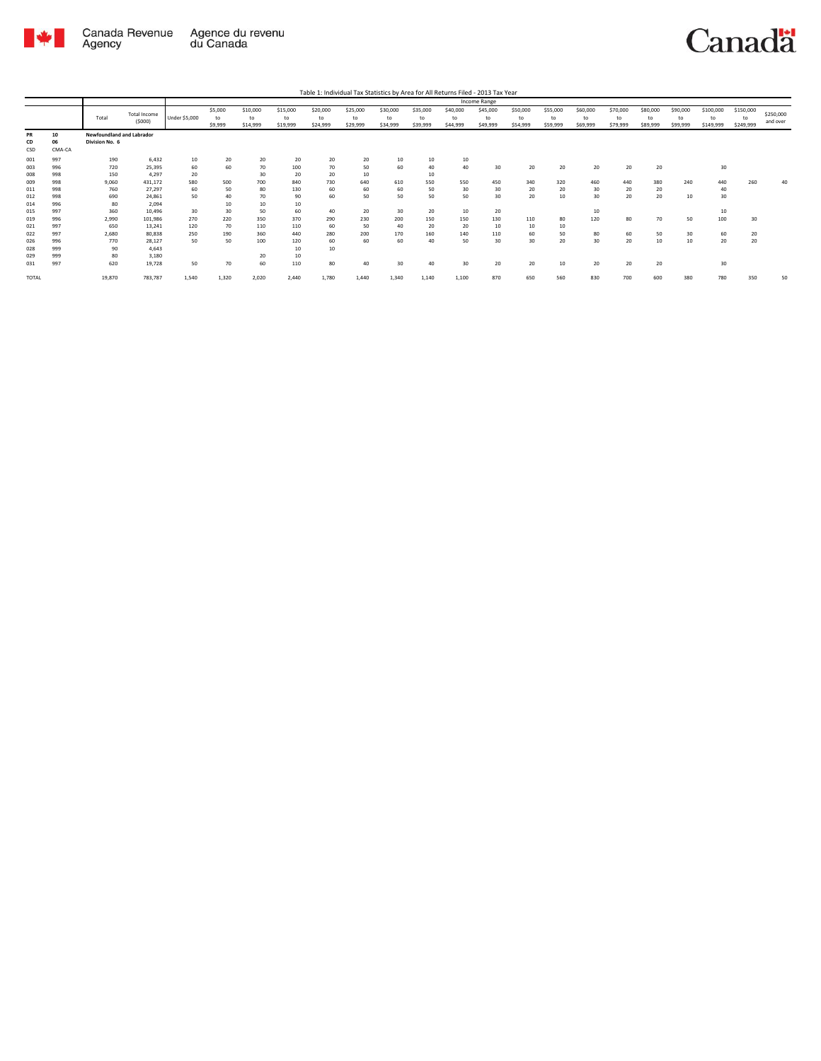

|              |            |                           |                     |               |           |           |           | Table 1: Individual Tax Statistics by Area for All Returns Filed - 2013 Tax Year |           |           |           |           |              |           |                  |           |          |          |          |           |           |           |
|--------------|------------|---------------------------|---------------------|---------------|-----------|-----------|-----------|----------------------------------------------------------------------------------|-----------|-----------|-----------|-----------|--------------|-----------|------------------|-----------|----------|----------|----------|-----------|-----------|-----------|
|              |            |                           |                     |               |           |           |           |                                                                                  |           |           |           |           | Income Range |           |                  |           |          |          |          |           |           |           |
|              |            |                           | <b>Total Income</b> |               | \$5,000   | \$10,000  | \$15,000  | \$20,000                                                                         | \$25,000  | \$30,000  | \$35,000  | \$40,000  | \$45,000     | \$50,000  | \$55,000         | \$60,000  | \$70,000 | \$80,000 | \$90,000 | \$100,000 | \$150,000 | \$250,000 |
|              |            | Total                     | (5000)              | Under \$5,000 | to        | to        | to        | to                                                                               | to        | to        | to        | to        | to           | to        | to               | to        | to       | to       | to       | $t_{0}$   | to        | and over  |
|              |            |                           |                     |               | \$9,999   | \$14,999  | \$19,999  | \$24,999                                                                         | \$29,999  | \$34,999  | \$39,999  | \$44,999  | \$49,999     | \$54,999  | \$59,999         | \$69,999  | \$79,999 | \$89,999 | \$99,999 | \$149,999 | \$249,999 |           |
| PR           | 10         | Newfoundland and Labrador |                     |               |           |           |           |                                                                                  |           |           |           |           |              |           |                  |           |          |          |          |           |           |           |
| CD           | 06         | Division No. 6            |                     |               |           |           |           |                                                                                  |           |           |           |           |              |           |                  |           |          |          |          |           |           |           |
| CSD          | CMA-CA     |                           |                     |               |           |           |           |                                                                                  |           |           |           |           |              |           |                  |           |          |          |          |           |           |           |
| 001          | 997        | 190                       | 6,432               | 10            | 20        | 20        | 20        | 20                                                                               | 20        | 10        | 10        | 10        |              |           |                  |           |          |          |          |           |           |           |
| 003          | 996        | 720                       | 25,395              | 60            | 60        | 70        | 100       | 70                                                                               | 50        | 60        | 40        | 40        | 30           | 20        | 20               | 20        | 20       | 20       |          | 30        |           |           |
| 008          | 998        | 150                       | 4,297               | 20            |           | 30        | 20        | 20                                                                               | 10        |           | 10        |           |              |           |                  |           |          |          |          |           |           |           |
| 009          | 998        | 9.060                     | 431.172             | 580           | 500       | 700       | 840       | 730                                                                              | 640       | 610       | 550       | 550       | 450          | 340       | 320              | 460       | 440      | 380      | 240      | 440       | 260       | 40        |
| 011          | 998        | 760                       | 27.297              | 60            | 50        | 80        | 130       | 60                                                                               | 60        | 60        | 50        | 30        | 30           | 20        | 20               | 30        | 20       | 20       |          | 40        |           |           |
| 012          | 998        | 690                       | 24.861              | 50            | 40        | 70        | 90        | 60                                                                               | 50        | 50        | 50        | 50        | 30           | 20        | 10 <sup>10</sup> | 30        | 20       | 20       | 10       | 30        |           |           |
| 014          | 996        | 80                        | 2.094               |               | 10        | 10        | 10        |                                                                                  |           |           |           |           |              |           |                  |           |          |          |          |           |           |           |
| 015          | 997<br>996 | 360<br>2.990              | 10.496<br>101.986   | 30<br>270     | 30<br>220 | 50<br>350 | 60<br>370 | 40<br>290                                                                        | 20<br>230 | 30<br>200 | 20<br>150 | 10<br>150 | 20<br>130    |           | 80               | 10<br>120 | 80       | 70       | 50       | 10<br>100 | 30        |           |
| 019<br>021   | 997        | 650                       | 13.241              | 120           | 70        | 110       | 110       | 60                                                                               | 50        | 40        | 20        | 20        | 10           | 110<br>10 | 10 <sub>10</sub> |           |          |          |          |           |           |           |
| 022          | 997        | 2,680                     | 80.838              | 250           | 190       | 360       | 440       | 280                                                                              | 200       | 170       | 160       | 140       | 110          | 60        | 50               | 80        | 60       | 50       | 30       | 60        | 20        |           |
| 026          | 996        | 770                       | 28.127              | 50            | 50        | 100       | 120       | 60                                                                               | 60        | 60        | 40        | 50        | 30           | 30        | 20               | 30        | 20       | 10       | 10       | 20        | 20        |           |
| 028          | 999        | 90                        | 4.643               |               |           |           | 10        | 10                                                                               |           |           |           |           |              |           |                  |           |          |          |          |           |           |           |
| 029          | 999        | 80                        | 3,180               |               |           | 20        | 10        |                                                                                  |           |           |           |           |              |           |                  |           |          |          |          |           |           |           |
| 031          | 997        | 620                       | 19,728              | 50            | 70        | 60        | 110       | 80                                                                               | 40        | 30        | 40        | 30        | 20           | 20        | 10               | 20        | 20       | 20       |          | 30        |           |           |
|              |            |                           |                     |               |           |           |           |                                                                                  |           |           |           |           |              |           |                  |           |          |          |          |           |           |           |
| <b>TOTAL</b> |            | 19,870                    | 783,787             | 1,540         | 1.320     | 2.020     | 2.440     | 1.780                                                                            | 1.440     | 1,340     | 1.140     | 1.100     | 870          | 650       | 560              | 830       | 700      | 600      | 380      | 780       | 350       | 50        |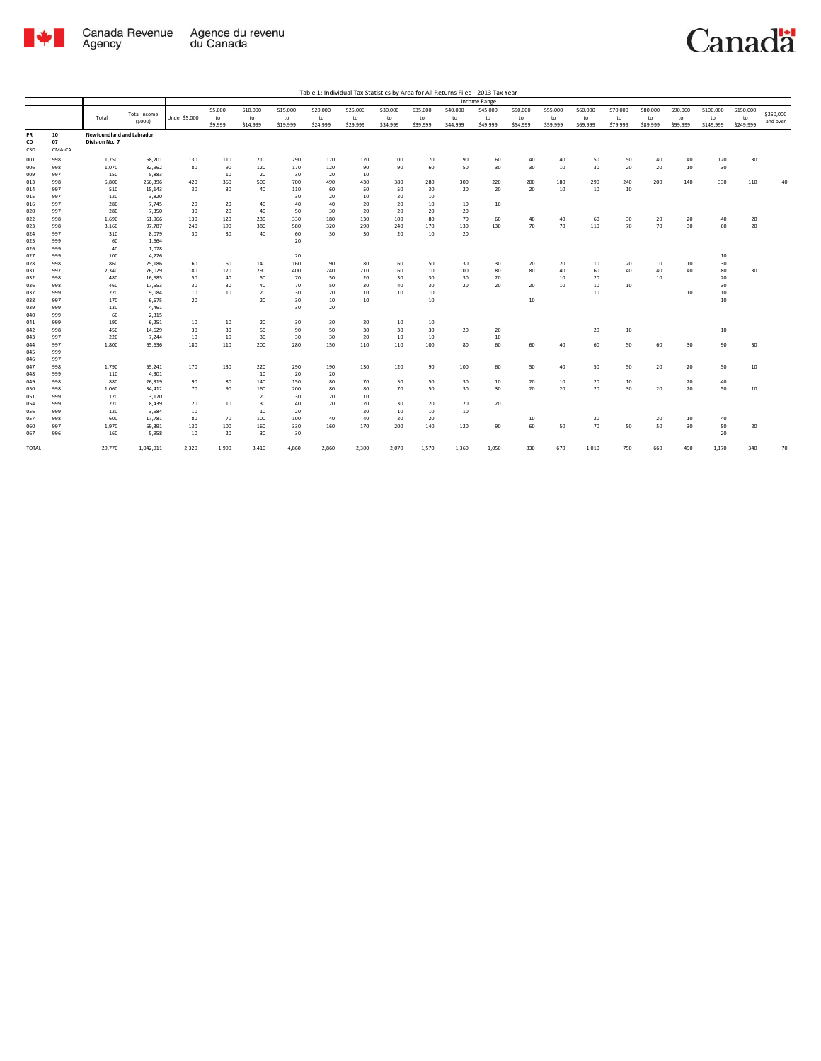

| Table 1: Individual Tax Statistics by Area for All Returns Filed - 2013 Tax Year |
|----------------------------------------------------------------------------------|
|----------------------------------------------------------------------------------|

|                 |                    |                                             |                               |               |                          |                            |                            |                            |                            |                            |                            |                            | Income Range               |                            |                            |                            |                            |                            |                            |                              |                              |                       |
|-----------------|--------------------|---------------------------------------------|-------------------------------|---------------|--------------------------|----------------------------|----------------------------|----------------------------|----------------------------|----------------------------|----------------------------|----------------------------|----------------------------|----------------------------|----------------------------|----------------------------|----------------------------|----------------------------|----------------------------|------------------------------|------------------------------|-----------------------|
|                 |                    | Total                                       | <b>Total Income</b><br>(5000) | Under \$5,000 | \$5,000<br>to<br>\$9,999 | \$10,000<br>to<br>\$14,999 | \$15,000<br>to<br>\$19,999 | \$20,000<br>to<br>\$24,999 | \$25,000<br>to<br>\$29,999 | \$30,000<br>to<br>\$34,999 | \$35,000<br>to<br>\$39,999 | \$40,000<br>to<br>\$44,999 | \$45,000<br>to<br>\$49,999 | \$50,000<br>to<br>\$54,999 | \$55,000<br>to<br>\$59,999 | \$60,000<br>to<br>\$69,999 | \$70,000<br>to<br>\$79,999 | \$80,000<br>to<br>\$89,999 | \$90,000<br>to<br>\$99,999 | \$100,000<br>to<br>\$149,999 | \$150,000<br>to<br>\$249,999 | \$250,000<br>and over |
| PR<br>CD<br>CSD | 10<br>07<br>CMA-CA | Newfoundland and Labrador<br>Division No. 7 |                               |               |                          |                            |                            |                            |                            |                            |                            |                            |                            |                            |                            |                            |                            |                            |                            |                              |                              |                       |
| 001             | 998                | 1,750                                       | 68,201                        | 130           | 110                      | 210                        | 290                        | 170                        | 120                        | 100                        | 70                         | 90                         | 60                         | 40                         | 40                         | 50                         | 50                         | 40                         | 40                         | 120                          | 30                           |                       |
| 006             | 998                | 1,070                                       | 32,962                        | 80            | 90                       | 120                        | 170                        | 120                        | 90                         | 90                         | 60                         | 50                         | 30                         | 30                         | 10                         | 30                         | 20                         | 20                         | 10                         | 30                           |                              |                       |
| 009             | 997                | 150                                         | 5,883                         |               | 10                       | 20                         | 30                         | 20                         | 10                         |                            |                            |                            |                            |                            |                            |                            |                            |                            |                            |                              |                              |                       |
| 013             | 998                | 5,800                                       | 256.396                       | 420           | 360                      | 500                        | 700                        | 490                        | 430                        | 380                        | 280                        | 300                        | 220                        | 200                        | 180                        | 290                        | 240                        | 200                        | 140                        | 330                          | 110                          | ٨ſ                    |
| 014             | 997                | 510                                         | 15,143                        | 30            | 30                       | 40                         | 110                        | 60                         | 50                         | 50                         | 30                         | 20                         | 20                         | 20                         | 10                         | 10                         | 10                         |                            |                            |                              |                              |                       |
| 015             | 997                | 120                                         | 3,820                         |               |                          |                            | 30                         | 20                         | 10                         | 20                         | 10                         |                            |                            |                            |                            |                            |                            |                            |                            |                              |                              |                       |
| 016             | 997                | 280<br>280                                  | 7,745<br>7,350                | 20<br>30      | 20<br>20                 | 40                         | 40                         | 40<br>30                   | 20                         | 20                         | 10                         | 10                         | 10                         |                            |                            |                            |                            |                            |                            |                              |                              |                       |
| 020<br>022      | 997<br>998         | 1,690                                       | 51,966                        | 130           | 120                      | 40<br>230                  | 50<br>330                  | 180                        | 20<br>130                  | 20<br>100                  | 20<br>80                   | 20<br>70                   | 60                         | 40                         | 40                         | 60                         | 30                         | 20                         | 20                         | 40                           | 20                           |                       |
| 023             | 998                | 3,160                                       | 97,787                        | 240           | 190                      | 380                        | 580                        | 320                        | 290                        | 240                        | 170                        | 130                        | 130                        | 70                         | 70                         | 110                        | 70                         | 70                         | 30                         | 60                           | 20                           |                       |
| 024             | 997                | 310                                         | 8.079                         | 30            | 30                       | 40                         | 60                         | 30                         | 30                         | 20                         | 10                         | 20                         |                            |                            |                            |                            |                            |                            |                            |                              |                              |                       |
| 025             | 999                | 60                                          | 1,664                         |               |                          |                            | 20                         |                            |                            |                            |                            |                            |                            |                            |                            |                            |                            |                            |                            |                              |                              |                       |
| 026             | 999                | 40                                          | 1,078                         |               |                          |                            |                            |                            |                            |                            |                            |                            |                            |                            |                            |                            |                            |                            |                            |                              |                              |                       |
| 027             | 999                | 100                                         | 4,226                         |               |                          |                            | 20                         |                            |                            |                            |                            |                            |                            |                            |                            |                            |                            |                            |                            | 10                           |                              |                       |
| 028             | 998                | 860                                         | 25,186                        | 60            | 60                       | 140                        | 160                        | 90                         | 80                         | 60                         | 50                         | 30                         | 30                         | 20                         | 20                         | 10                         | 20                         | 10                         | 10                         | 30                           |                              |                       |
| 031             | 997                | 2,340                                       | 76,029                        | 180           | 170                      | 290                        | 400                        | 240                        | 210                        | 160                        | 110                        | 100                        | 80                         | 80                         | 40                         | 60                         | 40                         | 40                         | 40                         | 80                           | 30                           |                       |
| 032             | 998                | 480                                         | 16,685                        | 50            | 40                       | 50                         | 70                         | 50                         | 20                         | 30                         | 30                         | 30                         | 20                         |                            | 10                         | 20                         |                            | 10                         |                            | 20                           |                              |                       |
| 036             | 998                | 460                                         | 17,553                        | 30            | 30<br>10                 | 40                         | 70                         | 50                         | 30                         | 40                         | 30                         | 20                         | 20                         | 20                         | 10                         | 10<br>10                   | 10                         |                            |                            | 30                           |                              |                       |
| 037<br>038      | 999<br>997         | 220<br>170                                  | 9.084<br>6.675                | 10<br>20      |                          | 20<br>20                   | 30<br>30                   | 20<br>10                   | 10<br>10                   | 10                         | 10<br>10                   |                            |                            | 10                         |                            |                            |                            |                            | 10                         | 10<br>10                     |                              |                       |
| 039             | 999                | 130                                         | 4,461                         |               |                          |                            | 30                         | 20                         |                            |                            |                            |                            |                            |                            |                            |                            |                            |                            |                            |                              |                              |                       |
| 040             | 999                | 60                                          | 2,315                         |               |                          |                            |                            |                            |                            |                            |                            |                            |                            |                            |                            |                            |                            |                            |                            |                              |                              |                       |
| 041             | 999                | 190                                         | 6,251                         | 10            | 10                       | 20                         | 30                         | 30                         | 20                         | 10                         | 10                         |                            |                            |                            |                            |                            |                            |                            |                            |                              |                              |                       |
| 042             | 998                | 450                                         | 14,629                        | 30            | 30                       | 50                         | 90                         | 50                         | 30                         | 30                         | 30                         | 20                         | 20                         |                            |                            | 20                         | 10                         |                            |                            | 10                           |                              |                       |
| 043             | 997                | 220                                         | 7,244                         | 10            | 10                       | 30                         | 30                         | 30                         | 20                         | 10                         | 10                         |                            | 10                         |                            |                            |                            |                            |                            |                            |                              |                              |                       |
| 044             | 997                | 1,800                                       | 65,636                        | 180           | 110                      | 200                        | 280                        | 150                        | 110                        | 110                        | 100                        | 80                         | 60                         | 60                         | 40                         | 60                         | 50                         | 60                         | 30                         | 90                           | 30                           |                       |
| 045             | 999                |                                             |                               |               |                          |                            |                            |                            |                            |                            |                            |                            |                            |                            |                            |                            |                            |                            |                            |                              |                              |                       |
| 046             | 997                |                                             |                               |               |                          |                            |                            |                            |                            |                            |                            |                            |                            |                            |                            |                            |                            |                            |                            |                              |                              |                       |
| 047             | 998                | 1,790                                       | 55,241                        | 170           | 130                      | 220                        | 290                        | 190                        | 130                        | 120                        | 90                         | 100                        | 60                         | 50                         | 40                         | 50                         | 50                         | 20                         | 20                         | 50                           | 10                           |                       |
| 048             | 999                | 110                                         | 4,301                         |               |                          | 10                         | 20                         | 20                         |                            |                            |                            |                            |                            |                            | 10                         |                            |                            |                            |                            | 40                           |                              |                       |
| 049<br>050      | 998<br>998         | 880<br>1,060                                | 26,319<br>34,412              | 90<br>70      | 80<br>90                 | 140<br>160                 | 150<br>200                 | 80<br>80                   | 70<br>80                   | 50<br>70                   | 50<br>50                   | 30<br>30                   | 10<br>30                   | 20<br>20                   | 20                         | 20<br>20                   | 10<br>30                   | 20                         | 20<br>20                   | 50                           | 10                           |                       |
| 051             | 999                | 120                                         | 3,170                         |               |                          | 20                         | 30                         | 20                         | 10                         |                            |                            |                            |                            |                            |                            |                            |                            |                            |                            |                              |                              |                       |
| 054             | 999                | 270                                         | 8.439                         | 20            | 10                       | 30                         | 40                         | 20                         | 20                         | 30                         | 20                         | 20                         | 20                         |                            |                            |                            |                            |                            |                            |                              |                              |                       |
| 056             | 999                | 120                                         | 3.584                         | 10            |                          | 10                         | 20                         |                            | 20                         | 10                         | 10                         | $10\,$                     |                            |                            |                            |                            |                            |                            |                            |                              |                              |                       |
| 057             | 998                | 600                                         | 17,781                        | 80            | 70                       | 100                        | 100                        | 40                         | 40                         | 20                         | 20                         |                            |                            | 10                         |                            | 20                         |                            | 20                         | 10                         | 40                           |                              |                       |
| 060             | 997                | 1,970                                       | 69,391                        | 130           | 100                      | 160                        | 330                        | 160                        | 170                        | 200                        | 140                        | 120                        | 90                         | 60                         | 50                         | 70                         | 50                         | 50                         | 30                         | 50                           | 20                           |                       |
| 067             | 996                | 160                                         | 5,958                         | 10            | 20                       | 30                         | 30                         |                            |                            |                            |                            |                            |                            |                            |                            |                            |                            |                            |                            | 20                           |                              |                       |
| <b>TOTAL</b>    |                    | 29,770                                      | 1,042,911                     | 2,320         | 1,990                    | 3,410                      | 4,860                      | 2.860                      | 2,300                      | 2,070                      | 1,570                      | 1,360                      | 1,050                      | 830                        | 670                        | 1,010                      | 750                        | 660                        | 490                        | 1,170                        | 340                          | 70                    |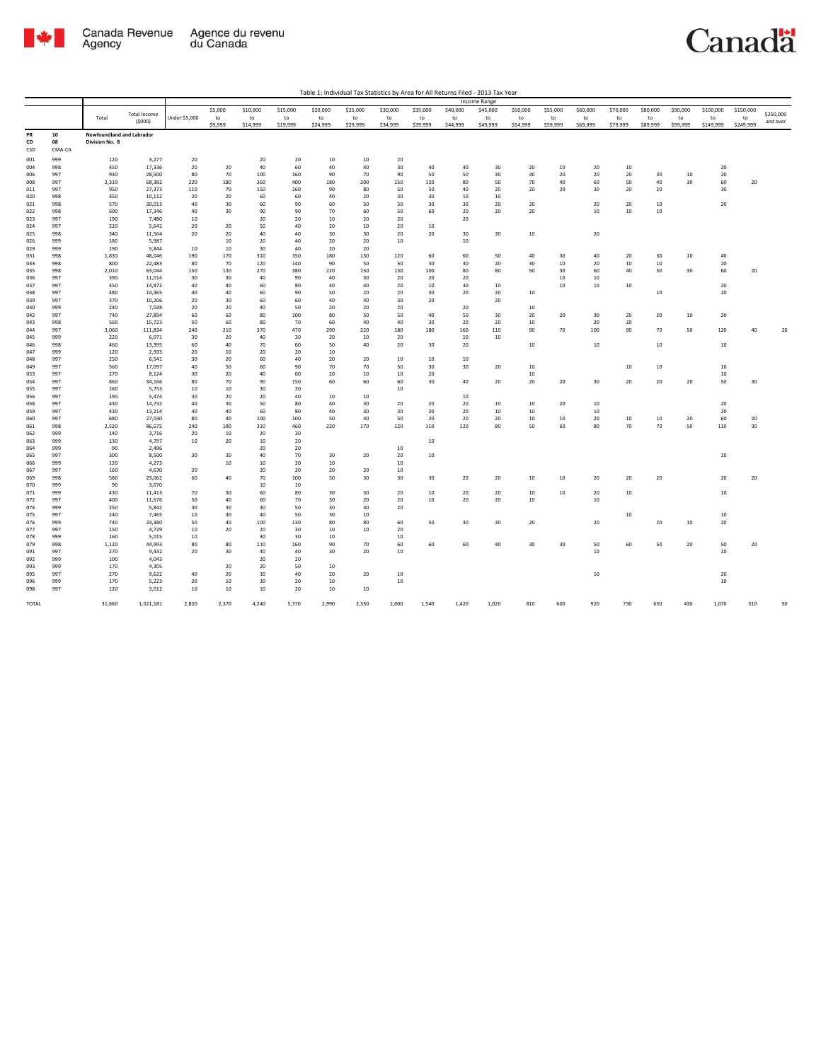

|              |            |                           |                               |               |           |           |           |           |              |              |          |           | Income Range |          |          |          |          |          |          |           |           |                       |
|--------------|------------|---------------------------|-------------------------------|---------------|-----------|-----------|-----------|-----------|--------------|--------------|----------|-----------|--------------|----------|----------|----------|----------|----------|----------|-----------|-----------|-----------------------|
|              |            |                           |                               |               | \$5,000   | \$10,000  | \$15,000  | \$20,000  | \$25,000     | \$30,000     | \$35,000 | \$40,000  | \$45,000     | \$50,000 | \$55,000 | \$60,000 | \$70,000 | \$80,000 | \$90,000 | \$100,000 | \$150,000 |                       |
|              |            | Total                     | <b>Total Income</b><br>(5000) | Under \$5,000 | to        | to        | to        | to        | to           | to           | to       | to        | to           | to       | to       | to       | to       | to       | to       | to        | to        | \$250,000<br>and over |
|              |            |                           |                               |               | \$9,999   | \$14,999  | \$19,999  | \$24,999  | \$29,999     | \$34,999     | \$39,999 | \$44,999  | \$49,999     | \$54,999 | \$59,999 | \$69,999 | \$79,999 | \$89,999 | \$99,999 | \$149,999 | \$249,999 |                       |
| PR           | 10         | Newfoundland and Labrador |                               |               |           |           |           |           |              |              |          |           |              |          |          |          |          |          |          |           |           |                       |
| CD           | 08         | Division No. 8            |                               |               |           |           |           |           |              |              |          |           |              |          |          |          |          |          |          |           |           |                       |
| CSD          | CMA-CA     |                           |                               |               |           |           |           |           |              |              |          |           |              |          |          |          |          |          |          |           |           |                       |
| 001          | 999        | 120                       | 3,277                         | 20            |           | 20        | 20        | 10        | 10           | 20           |          |           |              |          |          |          |          |          |          |           |           |                       |
| 004          | 998        | 450                       | 17,336                        | 20            | 20        | 40        | 60        | 40        | 40           | 30           | 40       | 40        | 30           | 20       | 10       | 20       | 10       |          |          | 20        |           |                       |
| 006          | 997        | 930                       | 28,500                        | 80            | 70        | 100       | 160       | 90        | 70           | 90           | 50       | 50        | 30           | 30       | 20       | 20       | 20       | 30       | 10       | 20        |           |                       |
| 008          | 997        | 2,310                     | 68,382                        | 220           | 180       | 360       | 400       | 180       | 200          | 150          | 120      | 80        | 50           | 70       | 40       | 60       | 50       | 40       | 30       | 60        | 20        |                       |
| 011          | 997        | 950                       | 27,373                        | 110           | 70        | 150       | 160       | 90        | 80           | 50           | 50       | 40        | 20           | 20       | 20       | 30       | 20       | 20       |          | 30        |           |                       |
| 020          | 998        | 350                       | 10,112                        | 20            | 20        | 60        | 60        | 40        | 20           | 30           | 30       | 10        | 10           |          |          |          |          |          |          |           |           |                       |
| 021          | 998        | 570                       | 20,013                        | 40            | 30        | 60        | 90        | 60        | 50           | 50           | 30       | 30        | 20           | 20       |          | 20       | 20       | 10       |          | 20        |           |                       |
| 022          | 998        | 600                       | 17,346                        | 40            | 30        | 90        | 90        | 70        | 60           | 50           | 60       | 20        | 20           | 20       |          | $10\,$   | $10\,$   | 10       |          |           |           |                       |
| 023          | 997        | 190                       | 7,480                         | 10            |           | 20        | 20        | 10        | 20           | 20           |          | 20        |              |          |          |          |          |          |          |           |           |                       |
| 024          | 997        | 220                       | 5,642                         | 20            | 20        | 50        | 40        | 20        | 10           | 20           | $10$     |           |              |          |          |          |          |          |          |           |           |                       |
| 025          | 998        | 340                       | 11,564                        | 20            | 20        | 40        | 40        | 30        | 30           | 20           | 20       | 30        | 30           | 10       |          | 20       |          |          |          |           |           |                       |
| 026          | 999        | 180                       | 5,987                         |               | 10        | 20        | 40        | 20        | 20           | $10\,$       |          | $10\,$    |              |          |          |          |          |          |          |           |           |                       |
| 029          | 999        | 190                       | 5,844                         | 10            | 10        | 30        | 40        | 20        | 20           |              |          |           |              |          |          |          |          |          |          |           |           |                       |
| 031          | 998        | 1,830                     | 48,046                        | 190           | 170       | 310       | 350       | 180       | 130          | 120          | 60       | 60        | 50           | 40       | 30       | 40       | 20       | 30       | 10       | 40        |           |                       |
| 033          | 998        | 800                       | 22,483                        | 80            | 70        | 120       | 140       | 90        | 50           | 50           | 30       | 30        | 20           | 30       | $10\,$   | 20       | 10       | $10\,$   |          | 20        |           |                       |
| 035          | 998        | 2,010                     | 63,044                        | 150           | 130       | 270       | 380       | 220       | 150          | 130          | 100      | 80        | 80           | 50       | 30       | 60       | 40       | 50       | 30       | 60        | 20        |                       |
| 036          | 997        | 390                       | 11,014                        | 30            | 30        | 40        | 90        | 40        | 30           | 20           | 20       | 20        |              |          | 10       | 10       |          |          |          |           |           |                       |
| 037          | 997        | 450                       | 14,872                        | 40            | 40        | 60        | 80        | 40        | 40           | 20           | 10       | 30        | 10           |          | $10\,$   | 10       | 10       |          |          | 20        |           |                       |
| 038          | 997        | 480                       | 14,465                        | 40            | 40        | 60        | 90        | 50        | 20           | 20           | 30       | 20        | 20           | 10       |          |          |          | 10       |          | 20        |           |                       |
| 039          | 997        | 370                       | 10,206                        | 20            | 30        | 60        | 60        | 40        | 40           | 30           | 20       |           | 20           |          |          |          |          |          |          |           |           |                       |
| 040          | 999        | 240                       | 7,038                         | 20            | 20        | 40        | 50        | 20        | 20           | 20           |          | 20        |              | 10       |          |          |          |          |          |           |           |                       |
| 042          | 997        | 740                       | 27,894                        | 60            | 60        | 80        | 100       | 80        | 50           | 50           | 40       | 50        | 30           | 20       | 20       | 30       | 20       | 20       | 10       | 20        |           |                       |
| 043          | 998        | 560                       | 15,723                        | 50            | 60        | 80        | 70        | 60        | 40           | 40           | 30       | 20        | 20           | 10       |          | 20       | 20       |          |          |           |           |                       |
| 044<br>045   | 997<br>999 | 3,060<br>220              | 111,834<br>6,071              | 240<br>30     | 210<br>20 | 370<br>40 | 470<br>30 | 290<br>20 | 220<br>10    | 180<br>20    | 180      | 160<br>10 | 110<br>10    | 90       | 70       | 100      | 90       | 70       | 50       | 120       | 40        | 20                    |
| 046          | 998        | 460                       | 13,395                        | 60            | 40        | 70        | 60        | 50        | 40           | 20           | 30       | 20        |              | 10       |          | $10\,$   |          | $10\,$   |          | $10\,$    |           |                       |
| 047          | 999        | 120                       | 2,933                         | 20            | 10        | 20        | 20        | 10        |              |              |          |           |              |          |          |          |          |          |          |           |           |                       |
| 048          | 997        | 250                       | 6,541                         | 30            | 20        | 60        | 40        | 20        | 20           | 10           | 10       | 10        |              |          |          |          |          |          |          |           |           |                       |
| 049          | 997        | 560                       | 17,097                        | 40            | 50        | 60        | 90        | 70        | 70           | 50           | 30       | 30        | 20           | 10       |          |          | $10\,$   | $10\,$   |          | 10        |           |                       |
| 053          | 997        | 270                       | 8,124                         | 30            | 20        | 40        | 60        | 20        | 10           | 10           | 20       |           |              | 10       |          |          |          |          |          | 10        |           |                       |
| 054          | 997        | 860                       | 34.166                        | 80            | 70        | 90        | 150       | 60        | 60           | 60           | 30       | 40        | 20           | 20       | 20       | 30       | 20       | 20       | 20       | 50        | 30        |                       |
| 055          | 997        | 160                       | 5,753                         | 10            | $10\,$    | 30        | 30        |           |              | $10\,$       |          |           |              |          |          |          |          |          |          |           |           |                       |
| 056          | 997        | 190                       | 5,474                         | 30            | 20        | 20        | 40        | 10        | 10           |              |          | 10        |              |          |          |          |          |          |          |           |           |                       |
| 058          | 997        | 430                       | 14,732                        | 40            | 30        | 50        | 80        | 40        | 30           | 20           | 20       | 20        | 10           | 10       | 20       | $10\,$   |          |          |          | 20        |           |                       |
| 059          | 997        | 430                       | 13,214                        | 40            | 40        | 60        | 80        | 40        | 30           | 30           | 20       | 20        | 10           | 10       |          | 10       |          |          |          | 20        |           |                       |
| 060          | 997        | 680                       | 27,030                        | 80            | 40        | 100       | 100       | 50        | 40           | 50           | 20       | 20        | 20           | 10       | $10\,$   | 20       | $10\,$   | 10       | 20       | 60        | 20        |                       |
| 061          | 998        | 2,520                     | 86,575                        | 240           | 180       | 310       | 460       | 220       | 170          | 120          | 110      | 120       | 80           | 50       | 60       | 80       | 70       | 70       | 50       | 110       | 30        |                       |
| 062          | 999        | 140                       | 3,716                         | 20            | 10        | 20        | 30        |           |              |              |          |           |              |          |          |          |          |          |          |           |           |                       |
| 063          | 999        | 130                       | 4,797                         | 10            | 20        | 10        | 20        |           |              |              | 10       |           |              |          |          |          |          |          |          |           |           |                       |
| 064          | 999        | 90                        | 2,496                         |               |           | 20        | 20        |           |              | 10           |          |           |              |          |          |          |          |          |          |           |           |                       |
| 065          | 997        | 300                       | 8,500                         | 30            | 30        | 40        | 70        | 30        | 20           | 20           | 10       |           |              |          |          |          |          |          |          | 10        |           |                       |
| 066          | 999        | 120                       | 4,273                         |               | $10\,$    | 10        | 20        | $10\,$    |              | $10\,$       |          |           |              |          |          |          |          |          |          |           |           |                       |
| 067          | 997        | 160                       | 4,630                         | 20            |           | 20        | 20        | 20        | 20           | 10           |          |           |              |          |          |          |          |          |          |           |           |                       |
| 069          | 998        | 580                       | 23,062                        | 60            | 40        | 70        | 100       | 50        | 30           | 30           | 30       | 20        | 20           | 10       | 10       | 20       | 20       | 20       |          | 20        | 20        |                       |
| 070          | 999        | 90                        | 3,070                         |               |           | 10        | 10        |           |              |              |          |           |              |          |          |          |          |          |          |           |           |                       |
| 071          | 999        | 430                       | 11,413                        | 70            | 30        | 60        | 80        | 30        | 30           | 20           | 10       | 20        | 20           | 10       | $10\,$   | 20       | $10\,$   |          |          | 10        |           |                       |
| 072          | 997        | 400                       | 11,576                        | 50            | 40        | 60        | 70        | 30        | 20           | 20           | 10       | 20        | 20           | 10       |          | 10       |          |          |          |           |           |                       |
| 074          | 999        | 250                       | 5,842                         | 30            | 30        | 30        | 50        | 30        | 30           | 20           |          |           |              |          |          |          |          |          |          |           |           |                       |
| 075          | 997        | 240                       | 7,465<br>23,380               | 10            | 30<br>40  | 40        | 50<br>130 | 30<br>80  | 10           | 60           |          |           | 30           | 20       |          | 20       | $10\,$   | 20       |          | 10<br>20  |           |                       |
| 076<br>077   | 999<br>997 | 740<br>150                | 4,729                         | 50<br>10      | 20        | 100<br>20 | 30        | 10        | 80<br>$10\,$ | 20           | 50       | 30        |              |          |          |          |          |          | 10       |           |           |                       |
|              |            |                           |                               |               |           |           |           |           |              |              |          |           |              |          |          |          |          |          |          |           |           |                       |
| 078<br>079   | 999<br>998 | 160<br>1,120              | 5,015<br>44,993               | 10<br>80      | 80        | 30<br>110 | 30<br>160 | 10<br>90  | 70           | $10\,$<br>60 | 60       | 60        | 40           | 30       | 30       | 50       | 60       | 50       | 20       | 50        | 20        |                       |
| 091          | 997        | 270                       | 9,432                         | 20            | 30        | 40        | 40        | 30        | 20           | $10\,$       |          |           |              |          |          | $10\,$   |          |          |          | $10\,$    |           |                       |
| 092          | 999        | 100                       | 4,043                         |               |           | 20        | 20        |           |              |              |          |           |              |          |          |          |          |          |          |           |           |                       |
| 093          | 999        | 170                       | 4,305                         |               | 20        | 20        | 50        | 10        |              |              |          |           |              |          |          |          |          |          |          |           |           |                       |
| 095          | 997        | 270                       | 9,622                         | 40            | 20        | 30        | 40        | 20        | 20           | 10           |          |           |              |          |          | $10\,$   |          |          |          | 20        |           |                       |
| 096          | 999        | 170                       | 5,223                         | 20            | 10        | 30        | 20        | 10        |              | $10\,$       |          |           |              |          |          |          |          |          |          | 10        |           |                       |
| 098          | 997        | 120                       | 3,012                         | 10            | 10        | 10        | 20        | 10        | 10           |              |          |           |              |          |          |          |          |          |          |           |           |                       |
|              |            |                           |                               |               |           |           |           |           |              |              |          |           |              |          |          |          |          |          |          |           |           |                       |
| <b>TOTAL</b> |            | 31,660                    | 1,021,181                     | 2,820         | 2,370     | 4,240     | 5,370     | 2,990     | 2,350        | 2,000        | 1,540    | 1,420     | 1,020        | 810      | 600      | 920      | 730      | 630      | 430      | 1,070     | 310       | 50                    |
|              |            |                           |                               |               |           |           |           |           |              |              |          |           |              |          |          |          |          |          |          |           |           |                       |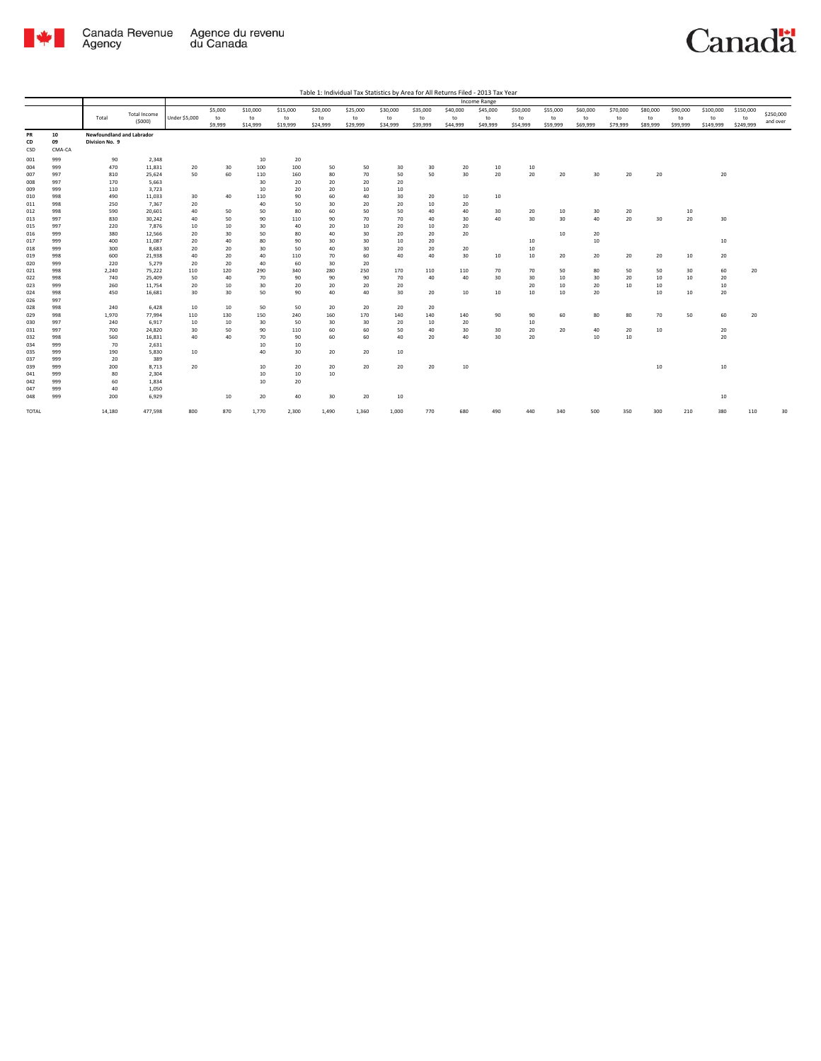

|            |            |                           |                     |               |          |          |          |          |          |          |          |          | Income Range |          |              |          |          |          |          |           |           |           |
|------------|------------|---------------------------|---------------------|---------------|----------|----------|----------|----------|----------|----------|----------|----------|--------------|----------|--------------|----------|----------|----------|----------|-----------|-----------|-----------|
|            |            |                           | <b>Total Income</b> |               | \$5,000  | \$10,000 | \$15,000 | \$20,000 | \$25,000 | \$30,000 | \$35,000 | \$40,000 | \$45,000     | \$50,000 | \$55,000     | \$60,000 | \$70,000 | \$80,000 | \$90,000 | \$100,000 | \$150,000 | \$250,000 |
|            |            | Total                     | (5000)              | Under \$5,000 | to       | to       | to       | to       | to       | to       | to       | to       | to           | to       | to           | to       | to       | to       | to       | to        | to        |           |
|            |            |                           |                     |               | \$9,999  | \$14,999 | \$19,999 | \$24,999 | \$29,999 | \$34,999 | \$39,999 | \$44,999 | \$49,999     | \$54,999 | \$59,999     | \$69,999 | \$79,999 | \$89,999 | \$99,999 | \$149,999 | \$249,999 | and over  |
| PR         | 10         | Newfoundland and Labrador |                     |               |          |          |          |          |          |          |          |          |              |          |              |          |          |          |          |           |           |           |
| CD         | 09         | Division No. 9            |                     |               |          |          |          |          |          |          |          |          |              |          |              |          |          |          |          |           |           |           |
| CSD        | CMA-CA     |                           |                     |               |          |          |          |          |          |          |          |          |              |          |              |          |          |          |          |           |           |           |
| 001        | 999        | 90                        | 2,348               |               |          | 10       | 20       |          |          |          |          |          |              |          |              |          |          |          |          |           |           |           |
| 004        | 999        | 470                       | 11,831              | 20            | 30       | 100      | 100      | 50       | 50       | 30       | 30       | 20       | 10           | 10       |              |          |          |          |          |           |           |           |
| 007        | 997        | 810                       | 25,624              | 50            | 60       | 110      | 160      | 80       | 70       | 50       | 50       | 30       | 20           | 20       | 20           | 30       | 20       | 20       |          | 20        |           |           |
| 008        | 997        | 170                       | 5,663               |               |          | 30       | 20       | 20       | 20       | 20       |          |          |              |          |              |          |          |          |          |           |           |           |
| 009        | 999        | 110                       | 3,723               |               |          | 10       | 20       | 20       | 10       | 10       |          |          |              |          |              |          |          |          |          |           |           |           |
| 010        | 998        | 490                       | 11,033              | 30            | 40       | 110      | 90       | 60       | 40       | 30       | 20       | 10       | 10           |          |              |          |          |          |          |           |           |           |
| 011        | 998        | 250                       | 7,367               | 20            |          | 40       | 50       | 30       | 20       | 20       | 10       | 20       |              |          |              |          |          |          |          |           |           |           |
| 012        | 998        | 590                       | 20,601              | 40            | 50       | 50       | 80       | 60       | 50       | 50       | 40       | 40       | 30           | 20       | 10           | 30       | 20       |          | 10       |           |           |           |
| 013        | 997        | 830                       | 30,242              | 40            | 50       | 90       | 110      | 90       | 70       | 70       | 40       | 30       | 40           | 30       | 30           | 40       | 20       | 30       | 20       | 30        |           |           |
| 015        | 997        | 220                       | 7,876               | 10            | 10       | 30       | 40       | 20       | 10       | 20       | 10       | 20       |              |          |              |          |          |          |          |           |           |           |
| 016        | 999        | 380                       | 12,566              | 20            | 30       | 50       | 80       | 40       | 30       | 20       | 20       | 20       |              |          | 10           | 20       |          |          |          |           |           |           |
| 017        | 999        | 400                       | 11.087              | 20            | 40       | 80       | 90       | 30       | 30       | 10       | 20       |          |              | 10       |              | 10       |          |          |          | 10        |           |           |
| 018        | 999        | 300                       | 8.683               | 20            | 20       | 30       | 50       | 40       | 30       | 20       | 20       | 20       |              | 10       |              |          |          |          |          |           |           |           |
| 019        | 998        | 600                       | 21,938              | 40            | 20       | 40       | 110      | 70       | 60       | 40       | 40       | 30       | 10           | 10       | 20           | 20       | 20       | 20       | 10       | 20        |           |           |
| 020        | 999        | 220                       | 5,279               | 20            | 20       | 40       | 60       | 30       | 20       |          |          |          |              |          |              |          |          |          |          |           |           |           |
| 021        | 998        | 2,240                     | 75,222              | 110           | 120      | 290      | 340      | 280      | 250      | 170      | 110      | 110      | 70           | 70       | 50           | 80       | 50       | 50       | 30       | 60        | 20        |           |
| 022        | 998<br>999 | 740<br>260                | 25,409              | 50<br>20      | 40<br>10 | 70<br>30 | 90<br>20 | 90<br>20 | 90<br>20 | 70<br>20 | 40       | 40       | 30           | 30<br>20 | 10<br>$10\,$ | 30<br>20 | 20<br>10 | 10       | 10       | 20        |           |           |
| 023<br>024 | 998        | 450                       | 11,754<br>16,681    | 30            | 30       | 50       | 90       | 40       | 40       | 30       | 20       | 10       | 10           | 10       | 10           | 20       |          | 10<br>10 | 10       | 10<br>20  |           |           |
| 026        | 997        |                           |                     |               |          |          |          |          |          |          |          |          |              |          |              |          |          |          |          |           |           |           |
| 028        | 998        | 240                       | 6,428               | 10            | 10       | 50       | 50       | 20       | 20       | 20       | 20       |          |              |          |              |          |          |          |          |           |           |           |
| 029        | 998        | 1,970                     | 77,994              | 110           | 130      | 150      | 240      | 160      | 170      | 140      | 140      | 140      | 90           | 90       | 60           | 80       | 80       | 70       | 50       | 60        | 20        |           |
| 030        | 997        | 240                       | 6,917               | 10            | 10       | 30       | 50       | 30       | 30       | 20       | 10       | 20       |              | 10       |              |          |          |          |          |           |           |           |
| 031        | 997        | 700                       | 24,820              | 30            | 50       | 90       | 110      | 60       | 60       | 50       | 40       | 30       | 30           | 20       | 20           | 40       | 20       | 10       |          | 20        |           |           |
| 032        | 998        | 560                       | 16,831              | 40            | 40       | 70       | 90       | 60       | 60       | 40       | 20       | 40       | 30           | 20       |              | 10       | 10       |          |          | 20        |           |           |
| 034        | 999        | 70                        | 2,631               |               |          | 10       | 10       |          |          |          |          |          |              |          |              |          |          |          |          |           |           |           |
| 035        | 999        | 190                       | 5,830               | $10$          |          | 40       | 30       | 20       | 20       | 10       |          |          |              |          |              |          |          |          |          |           |           |           |
| 037        | 999        | 20                        | 389                 |               |          |          |          |          |          |          |          |          |              |          |              |          |          |          |          |           |           |           |
| 039        | 999        | 200                       | 8,713               | 20            |          | 10       | 20       | 20       | 20       | 20       | 20       | 10       |              |          |              |          |          | 10       |          | 10        |           |           |
| 041        | 999        | 80                        | 2,304               |               |          | 10       | $10$     | 10       |          |          |          |          |              |          |              |          |          |          |          |           |           |           |
| 042        | 999        | 60                        | 1.834               |               |          | 10       | 20       |          |          |          |          |          |              |          |              |          |          |          |          |           |           |           |
| 047        | 999        | 40                        | 1,050               |               |          |          |          |          |          |          |          |          |              |          |              |          |          |          |          |           |           |           |
| 048        | 999        | 200                       | 6,929               |               | 10       | 20       | 40       | 30       | 20       | 10       |          |          |              |          |              |          |          |          |          | 10        |           |           |
| TOTAL      |            | 14,180                    | 477,598             | 800           | 870      | 1,770    | 2,300    | 1,490    | 1,360    | 1,000    | 770      | 680      | 490          | 440      | 340          | 500      | 350      | 300      | 210      | 380       | 110       | 30        |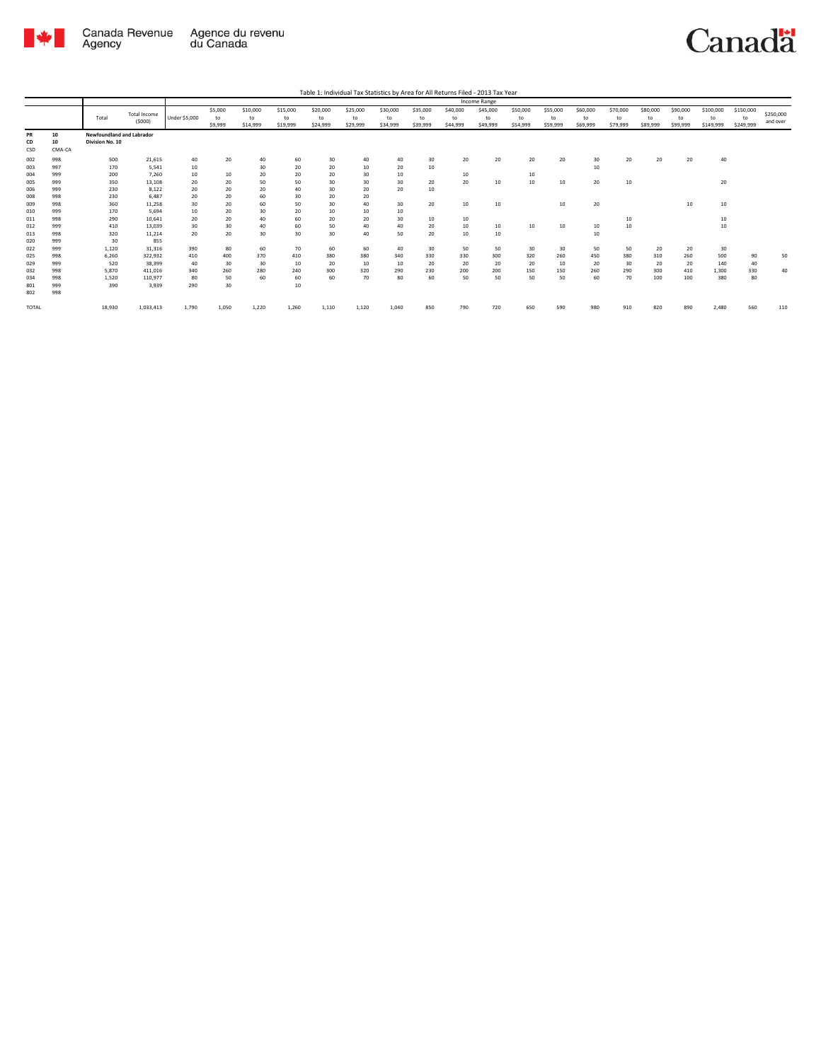

|              |        |                           |                     |               |         |          |          |          |          |          |          |          | Income Range |          |          |          |          |          |          |           |           |           |
|--------------|--------|---------------------------|---------------------|---------------|---------|----------|----------|----------|----------|----------|----------|----------|--------------|----------|----------|----------|----------|----------|----------|-----------|-----------|-----------|
|              |        |                           | <b>Total Income</b> |               | \$5,000 | \$10,000 | \$15,000 | \$20,000 | \$25,000 | \$30,000 | \$35,000 | \$40,000 | \$45,000     | \$50,000 | \$55,000 | \$60,000 | \$70,000 | \$80,000 | \$90,000 | \$100,000 | \$150,000 | \$250,000 |
|              |        | Total                     | (5000)              | Under \$5,000 | to      | to       | to       | to       | to       | to       | to       | to       | to           | to       | to       | to       | to       | to       | to       | to        | to        | and over  |
|              |        |                           |                     |               | \$9,999 | \$14,999 | \$19,999 | \$24,999 | \$29,999 | \$34,999 | \$39,999 | \$44,999 | \$49,999     | \$54,999 | \$59,999 | \$69,999 | \$79,999 | \$89,999 | \$99,999 | \$149,999 | \$249,999 |           |
| PR           | 10     | Newfoundland and Labrador |                     |               |         |          |          |          |          |          |          |          |              |          |          |          |          |          |          |           |           |           |
| CD           | 10     | Division No. 10           |                     |               |         |          |          |          |          |          |          |          |              |          |          |          |          |          |          |           |           |           |
| CSD          | CMA-CA |                           |                     |               |         |          |          |          |          |          |          |          |              |          |          |          |          |          |          |           |           |           |
| 002          | 998    | 500                       | 21,615              | 40            | 20      | 40       | 60       | 30       | 40       | 40       | 30       | 20       | 20           | 20       | 20       | 30       | 20       | 20       | 20       | 40        |           |           |
| 003          | 997    | 170                       | 5.541               | 10            |         | 30       | 20       | 20       | 10       | 20       | 10       |          |              |          |          | 10       |          |          |          |           |           |           |
| 004          | 999    | 200                       | 7.260               | 10            | 10      | 20       | 20       | 20       | 30       | 10       |          | 10       |              | 10       |          |          |          |          |          |           |           |           |
| 005          | 999    | 350                       | 13.108              | 20            | 20      | 50       | 50       | 30       | 30       | 30       | 20       | 20       | 10           | 10       | 10       | 20       | 10       |          |          | 20        |           |           |
| 006          | 999    | 230                       | 8,122               | 20            | 20      | 20       | 40       | 30       | 20       | 20       | 10       |          |              |          |          |          |          |          |          |           |           |           |
| 008          | 998    | 230                       | 6.487               | 20            | 20      | 60       | 30       | 20       | 20       |          |          |          |              |          |          |          |          |          |          |           |           |           |
| 009          | 998    | 360                       | 11,258              | 30            | 20      | 60       | 50       | 30       | 40       | 30       | 20       | 10       | 10           |          | $10$     | 20       |          |          | 10       | 10        |           |           |
| 010          | 999    | 170                       | 5.694               | 10            | 20      | 30       | 20       | 10       | 10       | 10       |          |          |              |          |          |          |          |          |          |           |           |           |
| 011          | 998    | 290                       | 10.641              | 20            | 20      | 40       | 60       | 20       | 20       | 30       | 10       | 10       |              |          |          |          | 10       |          |          | 10        |           |           |
| 012          | 999    | 410                       | 13,039              | 30            | 30      | 40       | 60       | 50       | 40       | 40       | 20       | 10       | 10           | 10       | 10       | 10       | 10       |          |          | 10        |           |           |
| 013          | 998    | 320                       | 11,214              | 20            | 20      | 30       | 30       | 30       | 40       | 50       | 20       | 10       | 10           |          |          | $10$     |          |          |          |           |           |           |
| 020          | 999    | 30                        | 855                 |               |         |          |          |          |          |          |          |          |              |          |          |          |          |          |          |           |           |           |
| 022          | 999    | 1,120                     | 31,316              | 390           | 80      | 60       | 70       | 60       | 60       | 40       | 30       | 50       | 50           | 30       | 30       | 50       | 50       | 20       | 20       | 30        |           |           |
| 025          | 998    | 6,260                     | 322,932             | 410           | 400     | 370      | 410      | 380      | 380      | 340      | 330      | 330      | 300          | 320      | 260      | 450      | 380      | 310      | 260      | 500       | 90        | 50        |
| 029          | 999    | 520                       | 38,399              | 40            | 30      | 30       | 10       | 20       | 10       | 10       | 20       | 20       | 20           | 20       | 10       | 20       | 30       | 20       | 20       | 140       | 40        |           |
| 032          | 998    | 5.870                     | 411.016             | 340           | 260     | 280      | 240      | 300      | 320      | 290      | 230      | 200      | 200          | 150      | 150      | 260      | 290      | 300      | 410      | 1,300     | 330       | 40        |
| 034          | 998    | 1,520                     | 110,977             | 80            | 50      | 60       | 60       | 60       | 70       | 80       | 60       | 50       | 50           | 50       | 50       | 60       | 70       | 100      | 100      | 380       | 80        |           |
| 801          | 999    | 390                       | 3.939               | 290           | 30      |          | 10       |          |          |          |          |          |              |          |          |          |          |          |          |           |           |           |
| 802          | 998    |                           |                     |               |         |          |          |          |          |          |          |          |              |          |          |          |          |          |          |           |           |           |
| <b>TOTAL</b> |        | 18,930                    | 1,033,413           | 1,790         | 1,050   | 1,220    | 1,260    | 1,110    | 1.120    | 1.040    | 850      | 790      | 720          | 650      | 590      | 980      | 910      | 820      | 890      | 2.480     | 560       | 110       |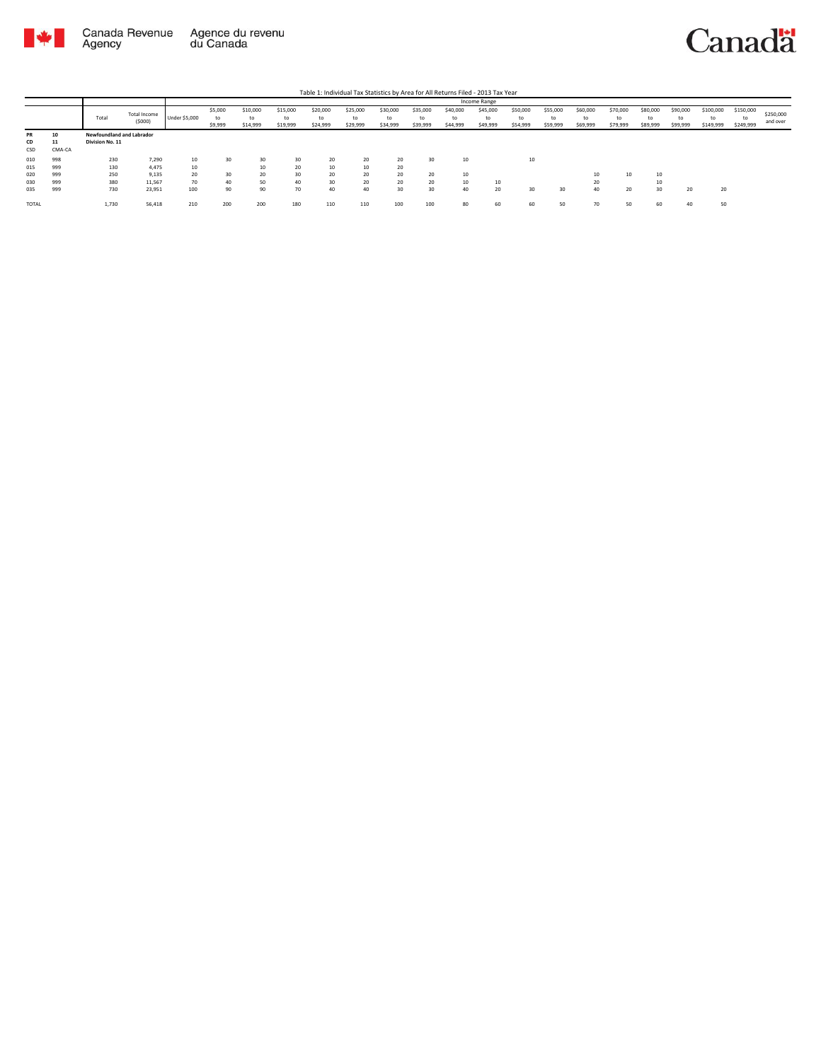

|                                 |                                 |                                              |                                             | Income Range                  |                          |                            |                            |                            |                            |                            |                            |                            |                      |                            |                            |                            |                            |                            |                            |                              |                              |                       |
|---------------------------------|---------------------------------|----------------------------------------------|---------------------------------------------|-------------------------------|--------------------------|----------------------------|----------------------------|----------------------------|----------------------------|----------------------------|----------------------------|----------------------------|----------------------|----------------------------|----------------------------|----------------------------|----------------------------|----------------------------|----------------------------|------------------------------|------------------------------|-----------------------|
|                                 |                                 | Total                                        | Total Income<br>(5000)                      | <b>Under \$5,000</b>          | \$5,000<br>to<br>\$9,999 | \$10,000<br>to<br>\$14,999 | \$15,000<br>to<br>\$19,999 | \$20,000<br>to<br>\$24,999 | \$25,000<br>to<br>\$29,999 | \$30,000<br>to<br>\$34,999 | \$35,000<br>to<br>\$39,999 | \$40,000<br>to<br>\$44,999 | \$45,000<br>\$49,999 | \$50,000<br>to<br>\$54,999 | \$55,000<br>to<br>\$59,999 | \$60,000<br>to<br>\$69,999 | \$70,000<br>to<br>\$79,999 | \$80,000<br>to<br>\$89,999 | \$90,000<br>to<br>\$99,999 | \$100,000<br>to<br>\$149,999 | \$150,000<br>to<br>\$249,999 | \$250,000<br>and over |
| PR<br>CD<br>CSD                 | 10<br>11<br>CMA-CA              | Newfoundland and Labrador<br>Division No. 11 |                                             |                               |                          |                            |                            |                            |                            |                            |                            |                            |                      |                            |                            |                            |                            |                            |                            |                              |                              |                       |
| 010<br>015<br>020<br>030<br>035 | 998<br>999<br>999<br>999<br>999 | 230<br>130<br>250<br>380<br>730              | 7,290<br>4.475<br>9,135<br>11,567<br>23,951 | 10<br>$10$<br>20<br>70<br>100 | 30<br>30<br>40<br>90     | 30<br>10<br>20<br>50<br>90 | 30<br>20<br>30<br>40<br>70 | 20<br>10<br>20<br>30<br>40 | 20<br>10<br>20<br>20<br>40 | 20<br>20<br>20<br>20<br>30 | 30<br>20<br>20<br>30       | 10<br>10<br>10<br>40       | 10<br>20             | 10<br>30                   | 30                         | 10<br>20<br>40             | 10<br>20                   | 10<br>10<br>30             | 20                         | 20                           |                              |                       |
| <b>TOTAL</b>                    |                                 | 1,730                                        | 56,418                                      | 210                           | 200                      | 200                        | 180                        | 110                        | 110                        | 100                        | 100                        | 80                         | 60                   | 60                         | 50                         | 70                         | 50                         | 60                         | 40                         | 50                           |                              |                       |